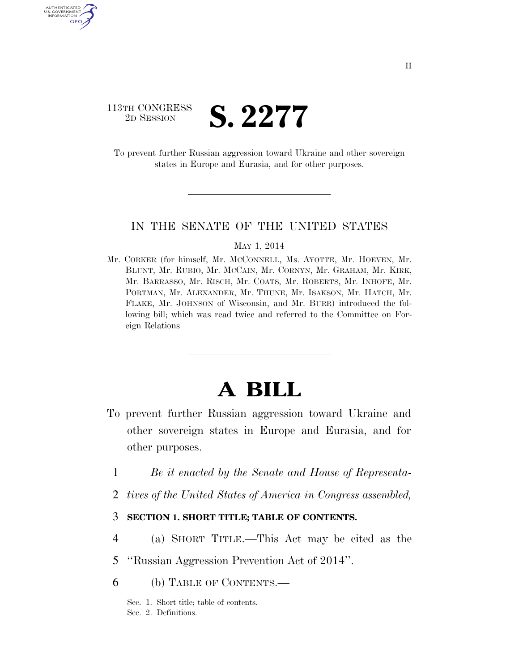### 113TH CONGRESS<br>2D SESSION 2D SESSION **S. 2277**

AUTHENTICATED U.S. GOVERNMENT GPO

> To prevent further Russian aggression toward Ukraine and other sovereign states in Europe and Eurasia, and for other purposes.

#### IN THE SENATE OF THE UNITED STATES

#### MAY 1, 2014

Mr. CORKER (for himself, Mr. MCCONNELL, Ms. AYOTTE, Mr. HOEVEN, Mr. BLUNT, Mr. RUBIO, Mr. MCCAIN, Mr. CORNYN, Mr. GRAHAM, Mr. KIRK, Mr. BARRASSO, Mr. RISCH, Mr. COATS, Mr. ROBERTS, Mr. INHOFE, Mr. PORTMAN, Mr. ALEXANDER, Mr. THUNE, Mr. ISAKSON, Mr. HATCH, Mr. FLAKE, Mr. JOHNSON of Wisconsin, and Mr. BURR) introduced the following bill; which was read twice and referred to the Committee on Foreign Relations

# **A BILL**

- To prevent further Russian aggression toward Ukraine and other sovereign states in Europe and Eurasia, and for other purposes.
	- 1 *Be it enacted by the Senate and House of Representa-*
	- 2 *tives of the United States of America in Congress assembled,*

### 3 **SECTION 1. SHORT TITLE; TABLE OF CONTENTS.**

- 4 (a) SHORT TITLE.—This Act may be cited as the
- 5 ''Russian Aggression Prevention Act of 2014''.
- 6 (b) TABLE OF CONTENTS.—

Sec. 1. Short title; table of contents. Sec. 2. Definitions.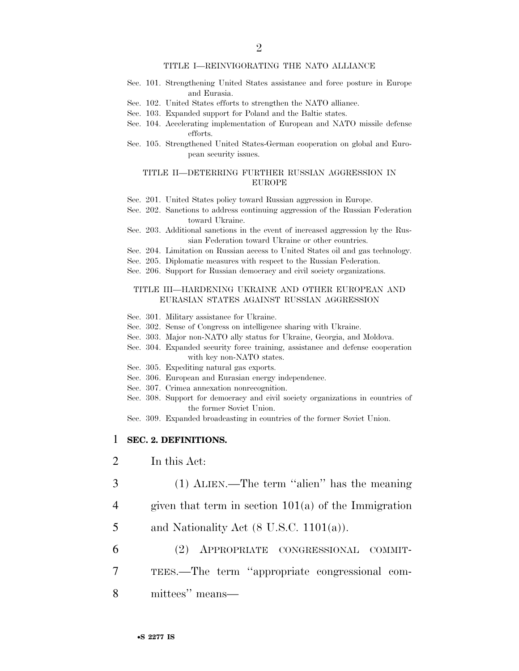#### TITLE I—REINVIGORATING THE NATO ALLIANCE

- Sec. 101. Strengthening United States assistance and force posture in Europe and Eurasia.
- Sec. 102. United States efforts to strengthen the NATO alliance.
- Sec. 103. Expanded support for Poland and the Baltic states.
- Sec. 104. Accelerating implementation of European and NATO missile defense efforts.
- Sec. 105. Strengthened United States-German cooperation on global and European security issues.

#### TITLE II—DETERRING FURTHER RUSSIAN AGGRESSION IN EUROPE

- Sec. 201. United States policy toward Russian aggression in Europe.
- Sec. 202. Sanctions to address continuing aggression of the Russian Federation toward Ukraine.
- Sec. 203. Additional sanctions in the event of increased aggression by the Russian Federation toward Ukraine or other countries.
- Sec. 204. Limitation on Russian access to United States oil and gas technology.
- Sec. 205. Diplomatic measures with respect to the Russian Federation.
- Sec. 206. Support for Russian democracy and civil society organizations.

#### TITLE III—HARDENING UKRAINE AND OTHER EUROPEAN AND EURASIAN STATES AGAINST RUSSIAN AGGRESSION

- Sec. 301. Military assistance for Ukraine.
- Sec. 302. Sense of Congress on intelligence sharing with Ukraine.
- Sec. 303. Major non-NATO ally status for Ukraine, Georgia, and Moldova.
- Sec. 304. Expanded security force training, assistance and defense cooperation with key non-NATO states.
- Sec. 305. Expediting natural gas exports.
- Sec. 306. European and Eurasian energy independence.
- Sec. 307. Crimea annexation nonrecognition.
- Sec. 308. Support for democracy and civil society organizations in countries of the former Soviet Union.
- Sec. 309. Expanded broadcasting in countries of the former Soviet Union.

#### 1 **SEC. 2. DEFINITIONS.**

- 2 In this Act:
- 3 (1) ALIEN.—The term ''alien'' has the meaning
- 4 given that term in section 101(a) of the Immigration
- 5 and Nationality Act  $(8 \text{ U.S.C. } 1101(a))$ .
- 6 (2) APPROPRIATE CONGRESSIONAL COMMIT-
- 7 TEES.—The term ''appropriate congressional com-
- 8 mittees'' means—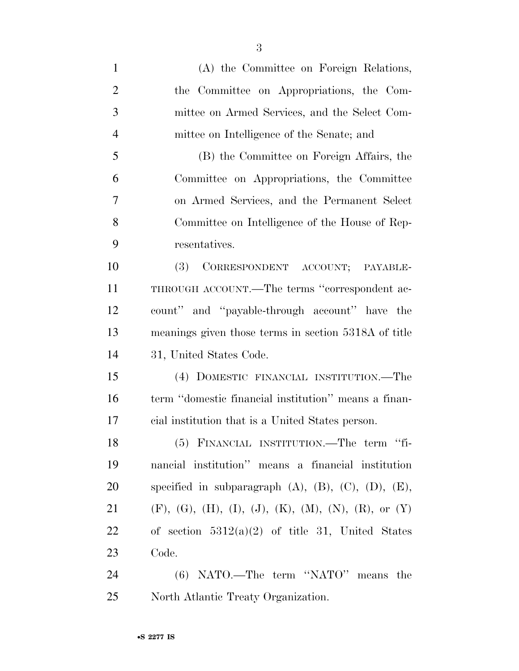| $\mathbf{1}$   | (A) the Committee on Foreign Relations,                                          |
|----------------|----------------------------------------------------------------------------------|
| $\overline{2}$ | the Committee on Appropriations, the Com-                                        |
| 3              | mittee on Armed Services, and the Select Com-                                    |
| $\overline{4}$ | mittee on Intelligence of the Senate; and                                        |
| 5              | (B) the Committee on Foreign Affairs, the                                        |
| 6              | Committee on Appropriations, the Committee                                       |
| 7              | on Armed Services, and the Permanent Select                                      |
| 8              | Committee on Intelligence of the House of Rep-                                   |
| 9              | resentatives.                                                                    |
| 10             | (3) CORRESPONDENT ACCOUNT; PAYABLE-                                              |
| 11             | THROUGH ACCOUNT.—The terms "correspondent ac-                                    |
| 12             | count" and "payable-through account" have the                                    |
| 13             | meanings given those terms in section 5318A of title                             |
| 14             | 31, United States Code.                                                          |
| 15             | (4) DOMESTIC FINANCIAL INSTITUTION.—The                                          |
| 16             | term "domestic financial institution" means a finan-                             |
| 17             | cial institution that is a United States person.                                 |
| 18             | (5) FINANCIAL INSTITUTION.—The term "fi-                                         |
| 19             | nancial institution" means a financial institution                               |
| 20             | specified in subparagraph $(A)$ , $(B)$ , $(C)$ , $(D)$ , $(E)$ ,                |
| 21             | $(F)$ , $(G)$ , $(H)$ , $(I)$ , $(J)$ , $(K)$ , $(M)$ , $(N)$ , $(R)$ , or $(Y)$ |
| 22             | of section $5312(a)(2)$ of title 31, United States                               |
| 23             | Code.                                                                            |
| 24             | (6) NATO.—The term "NATO" means the                                              |

North Atlantic Treaty Organization.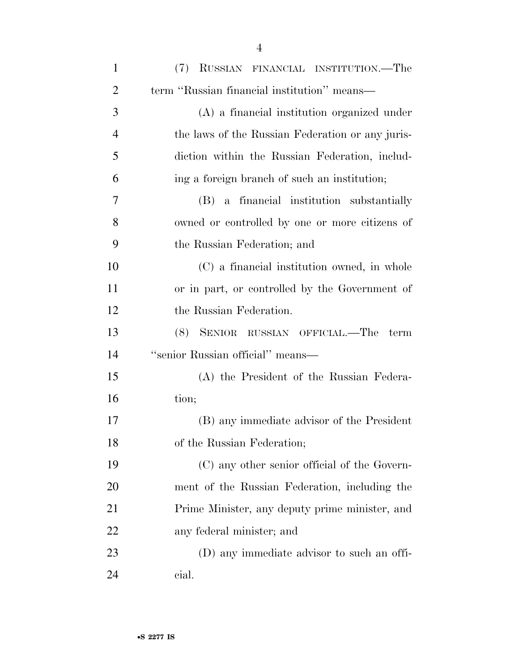| $\mathbf{1}$   | (7) RUSSIAN FINANCIAL INSTITUTION.—The           |
|----------------|--------------------------------------------------|
| $\overline{2}$ | term "Russian financial institution" means—      |
| 3              | (A) a financial institution organized under      |
| $\overline{4}$ | the laws of the Russian Federation or any juris- |
| 5              | diction within the Russian Federation, includ-   |
| 6              | ing a foreign branch of such an institution;     |
| 7              | (B) a financial institution substantially        |
| 8              | owned or controlled by one or more citizens of   |
| 9              | the Russian Federation; and                      |
| 10             | (C) a financial institution owned, in whole      |
| 11             | or in part, or controlled by the Government of   |
| 12             | the Russian Federation.                          |
| 13             | (8) SENIOR RUSSIAN OFFICIAL.—The<br>term         |
| 14             | "senior Russian official" means-                 |
| 15             | (A) the President of the Russian Federa-         |
| 16             | tion;                                            |
| 17             | (B) any immediate advisor of the President       |
| 18             | of the Russian Federation;                       |
| 19             | (C) any other senior official of the Govern-     |
| 20             | ment of the Russian Federation, including the    |
| 21             | Prime Minister, any deputy prime minister, and   |
| 22             | any federal minister; and                        |
| 23             | (D) any immediate advisor to such an offi-       |
| 24             | cial.                                            |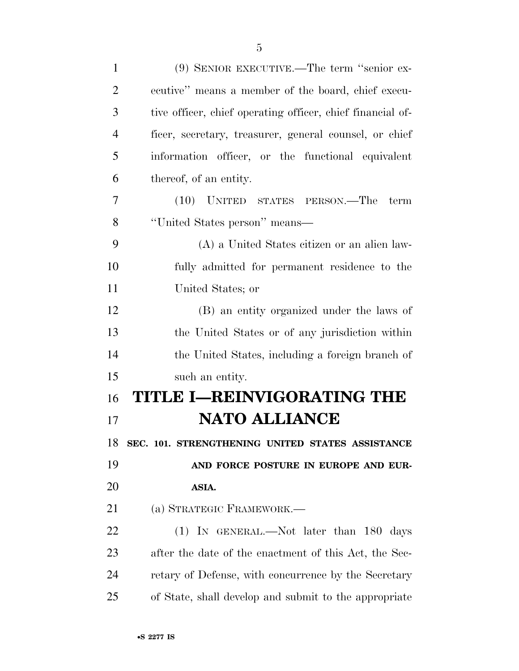| $\mathbf{1}$   | (9) SENIOR EXECUTIVE.—The term "senior ex-                 |
|----------------|------------------------------------------------------------|
| $\overline{2}$ | ecutive" means a member of the board, chief execu-         |
| 3              | tive officer, chief operating officer, chief financial of- |
| $\overline{4}$ | ficer, secretary, treasurer, general counsel, or chief     |
| 5              | information officer, or the functional equivalent          |
| 6              | thereof, of an entity.                                     |
| 7              | (10) UNITED STATES PERSON.—The<br>term                     |
| 8              | "United States person" means-                              |
| 9              | (A) a United States citizen or an alien law-               |
| 10             | fully admitted for permanent residence to the              |
| 11             | United States; or                                          |
| 12             | (B) an entity organized under the laws of                  |
| 13             | the United States or of any jurisdiction within            |
| 14             | the United States, including a foreign branch of           |
| 15             | such an entity.                                            |
| 16             | <b>TITLE I-REINVIGORATING THE</b>                          |
| 17             | <b>NATO ALLIANCE</b>                                       |
| 18             | SEC. 101. STRENGTHENING UNITED STATES ASSISTANCE           |
| 19             | AND FORCE POSTURE IN EUROPE AND EUR-                       |
| <b>20</b>      | ASIA.                                                      |
| 21             | (a) STRATEGIC FRAMEWORK.—                                  |
| 22             | $(1)$ IN GENERAL.—Not later than 180 days                  |
| 23             | after the date of the enactment of this Act, the Sec-      |
| 24             | retary of Defense, with concurrence by the Secretary       |
| 25             | of State, shall develop and submit to the appropriate      |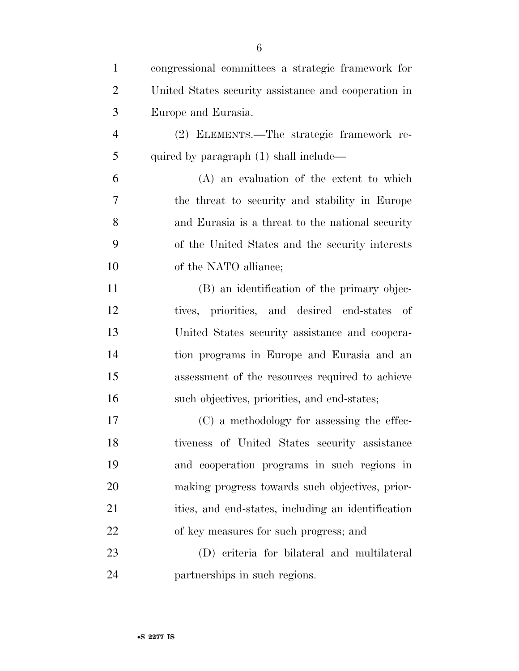| $\mathbf{1}$   | congressional committees a strategic framework for   |
|----------------|------------------------------------------------------|
| $\overline{2}$ | United States security assistance and cooperation in |
| 3              | Europe and Eurasia.                                  |
| $\overline{4}$ | (2) ELEMENTS.—The strategic framework re-            |
| 5              | quired by paragraph (1) shall include—               |
| 6              | $(A)$ an evaluation of the extent to which           |
| 7              | the threat to security and stability in Europe       |
| 8              | and Eurasia is a threat to the national security     |
| 9              | of the United States and the security interests      |
| 10             | of the NATO alliance;                                |
| 11             | (B) an identification of the primary objec-          |
| 12             | tives, priorities, and desired end-states of         |
| 13             | United States security assistance and coopera-       |
| 14             | tion programs in Europe and Eurasia and an           |
| 15             | assessment of the resources required to achieve      |
| 16             | such objectives, priorities, and end-states;         |
| 17             | (C) a methodology for assessing the effec-           |
| 18             | tiveness of United States security assistance        |
| 19             | and cooperation programs in such regions in          |
| 20             | making progress towards such objectives, prior-      |
| 21             | ities, and end-states, including an identification   |
| 22             | of key measures for such progress; and               |
| 23             | (D) criteria for bilateral and multilateral          |
| 24             | partnerships in such regions.                        |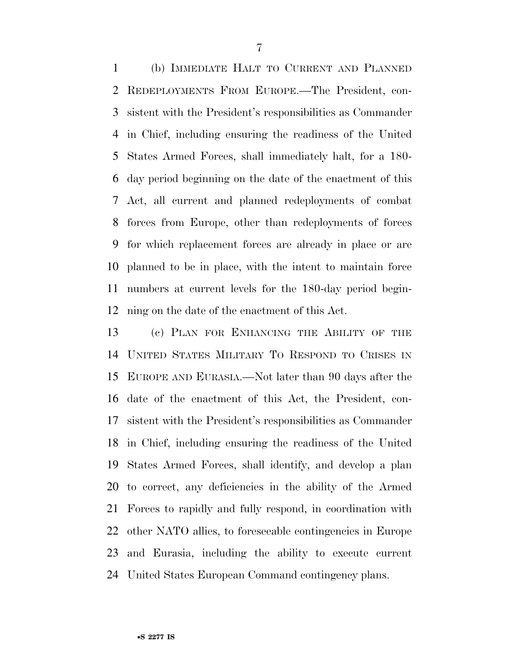(b) IMMEDIATE HALT TO CURRENT AND PLANNED REDEPLOYMENTS FROM EUROPE.—The President, con- sistent with the President's responsibilities as Commander in Chief, including ensuring the readiness of the United States Armed Forces, shall immediately halt, for a 180- day period beginning on the date of the enactment of this Act, all current and planned redeployments of combat forces from Europe, other than redeployments of forces for which replacement forces are already in place or are planned to be in place, with the intent to maintain force numbers at current levels for the 180-day period begin-ning on the date of the enactment of this Act.

 (c) PLAN FOR ENHANCING THE ABILITY OF THE UNITED STATES MILITARY TO RESPOND TO CRISES IN EUROPE AND EURASIA.—Not later than 90 days after the date of the enactment of this Act, the President, con- sistent with the President's responsibilities as Commander in Chief, including ensuring the readiness of the United States Armed Forces, shall identify, and develop a plan to correct, any deficiencies in the ability of the Armed Forces to rapidly and fully respond, in coordination with other NATO allies, to foreseeable contingencies in Europe and Eurasia, including the ability to execute current United States European Command contingency plans.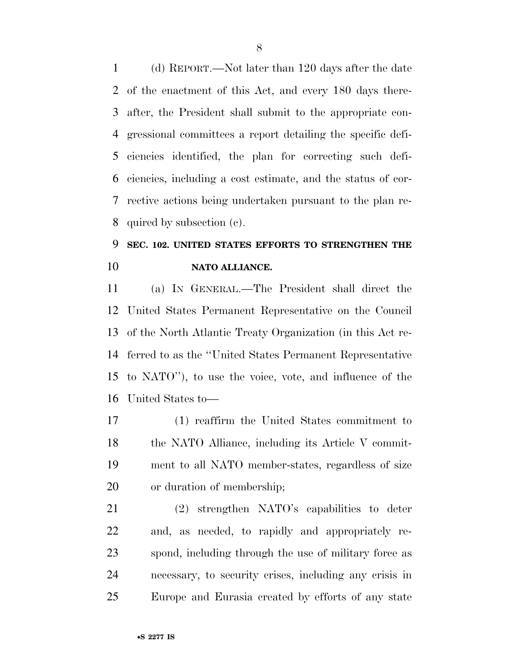(d) REPORT.—Not later than 120 days after the date of the enactment of this Act, and every 180 days there- after, the President shall submit to the appropriate con- gressional committees a report detailing the specific defi- ciencies identified, the plan for correcting such defi- ciencies, including a cost estimate, and the status of cor- rective actions being undertaken pursuant to the plan re-quired by subsection (c).

## **SEC. 102. UNITED STATES EFFORTS TO STRENGTHEN THE NATO ALLIANCE.**

 (a) IN GENERAL.—The President shall direct the United States Permanent Representative on the Council of the North Atlantic Treaty Organization (in this Act re- ferred to as the ''United States Permanent Representative to NATO''), to use the voice, vote, and influence of the United States to—

 (1) reaffirm the United States commitment to 18 the NATO Alliance, including its Article V commit- ment to all NATO member-states, regardless of size or duration of membership;

 (2) strengthen NATO's capabilities to deter and, as needed, to rapidly and appropriately re- spond, including through the use of military force as necessary, to security crises, including any crisis in Europe and Eurasia created by efforts of any state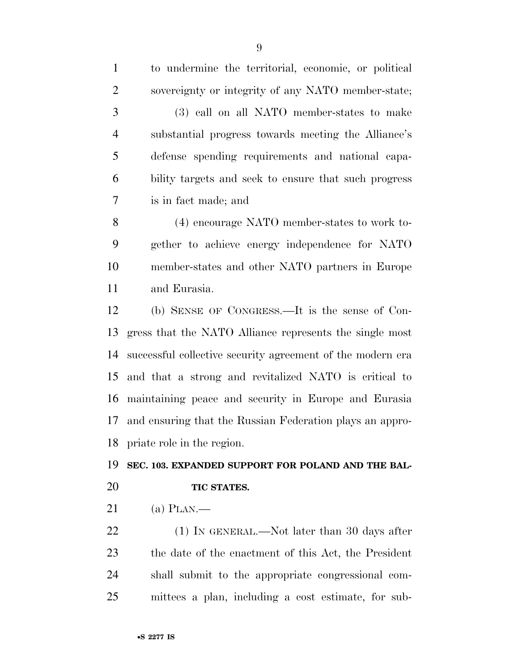to undermine the territorial, economic, or political sovereignty or integrity of any NATO member-state; (3) call on all NATO member-states to make substantial progress towards meeting the Alliance's defense spending requirements and national capa- bility targets and seek to ensure that such progress is in fact made; and

 (4) encourage NATO member-states to work to- gether to achieve energy independence for NATO member-states and other NATO partners in Europe and Eurasia.

 (b) SENSE OF CONGRESS.—It is the sense of Con- gress that the NATO Alliance represents the single most successful collective security agreement of the modern era and that a strong and revitalized NATO is critical to maintaining peace and security in Europe and Eurasia and ensuring that the Russian Federation plays an appro-priate role in the region.

#### **SEC. 103. EXPANDED SUPPORT FOR POLAND AND THE BAL-**

### **TIC STATES.**

(a) PLAN.—

22 (1) IN GENERAL.—Not later than 30 days after the date of the enactment of this Act, the President shall submit to the appropriate congressional com-mittees a plan, including a cost estimate, for sub-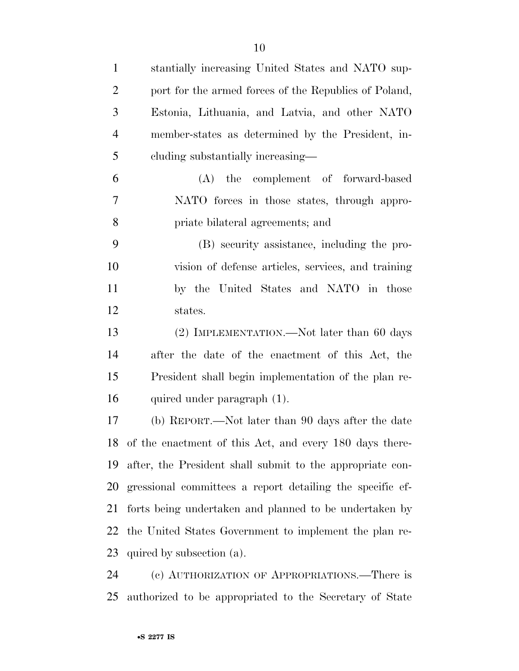| $\mathbf{1}$   | stantially increasing United States and NATO sup-         |
|----------------|-----------------------------------------------------------|
| $\overline{2}$ | port for the armed forces of the Republics of Poland,     |
| 3              | Estonia, Lithuania, and Latvia, and other NATO            |
| $\overline{4}$ | member-states as determined by the President, in-         |
| 5              | cluding substantially increasing—                         |
| 6              | (A) the complement of forward-based                       |
| 7              | NATO forces in those states, through appro-               |
| 8              | priate bilateral agreements; and                          |
| 9              | (B) security assistance, including the pro-               |
| 10             | vision of defense articles, services, and training        |
| 11             | by the United States and NATO in those                    |
| 12             | states.                                                   |
| 13             | (2) IMPLEMENTATION.—Not later than 60 days                |
| 14             | after the date of the enactment of this Act, the          |
| 15             | President shall begin implementation of the plan re-      |
| 16             | quired under paragraph (1).                               |
| 17             | (b) REPORT.—Not later than 90 days after the date         |
| 18             | of the enactment of this Act, and every 180 days there-   |
| 19             | after, the President shall submit to the appropriate con- |
| 20             | gressional committees a report detailing the specific ef- |
| 21             | forts being undertaken and planned to be undertaken by    |
| 22             | the United States Government to implement the plan re-    |
| 23             | quired by subsection (a).                                 |
| 24             | (c) AUTHORIZATION OF APPROPRIATIONS.—There is             |

authorized to be appropriated to the Secretary of State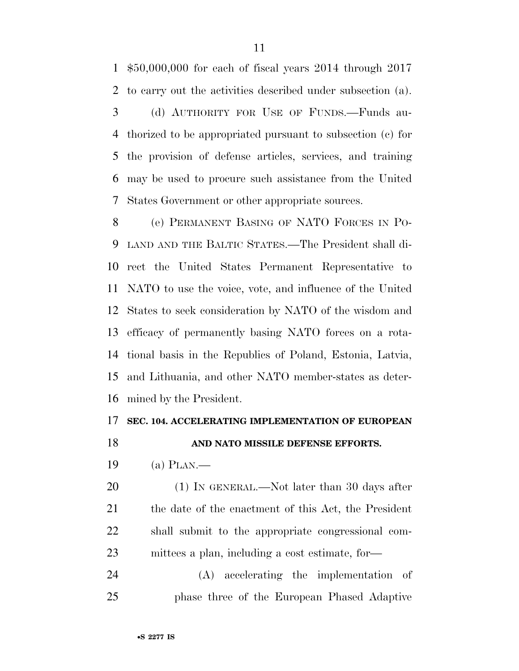\$50,000,000 for each of fiscal years 2014 through 2017 to carry out the activities described under subsection (a). (d) AUTHORITY FOR USE OF FUNDS.—Funds au- thorized to be appropriated pursuant to subsection (c) for the provision of defense articles, services, and training may be used to procure such assistance from the United States Government or other appropriate sources.

 (e) PERMANENT BASING OF NATO FORCES IN PO- LAND AND THE BALTIC STATES.—The President shall di- rect the United States Permanent Representative to NATO to use the voice, vote, and influence of the United States to seek consideration by NATO of the wisdom and efficacy of permanently basing NATO forces on a rota- tional basis in the Republics of Poland, Estonia, Latvia, and Lithuania, and other NATO member-states as deter-mined by the President.

#### **SEC. 104. ACCELERATING IMPLEMENTATION OF EUROPEAN**

### **AND NATO MISSILE DEFENSE EFFORTS.**

(a) PLAN.—

20 (1) IN GENERAL.—Not later than 30 days after the date of the enactment of this Act, the President shall submit to the appropriate congressional com-mittees a plan, including a cost estimate, for—

 (A) accelerating the implementation of phase three of the European Phased Adaptive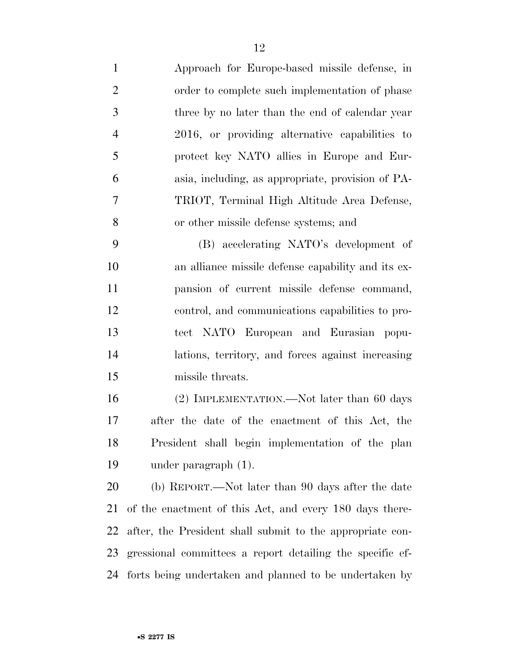| $\mathbf{1}$   | Approach for Europe-based missile defense, in             |
|----------------|-----------------------------------------------------------|
| $\overline{2}$ | order to complete such implementation of phase            |
| 3              | three by no later than the end of calendar year           |
| $\overline{4}$ | 2016, or providing alternative capabilities to            |
| 5              | protect key NATO allies in Europe and Eur-                |
| 6              | asia, including, as appropriate, provision of PA-         |
| $\overline{7}$ | TRIOT, Terminal High Altitude Area Defense,               |
| 8              | or other missile defense systems; and                     |
| 9              | (B) accelerating NATO's development of                    |
| 10             | an alliance missile defense capability and its ex-        |
| 11             | pansion of current missile defense command,               |
| 12             | control, and communications capabilities to pro-          |
| 13             | tect NATO European and Eurasian popu-                     |
| 14             | lations, territory, and forces against increasing         |
| 15             | missile threats.                                          |
| 16             | (2) IMPLEMENTATION.—Not later than 60 days                |
| 17             | after the date of the enactment of this Act, the          |
| 18             | President shall begin implementation of the plan          |
| 19             | under paragraph $(1)$ .                                   |
| 20             | (b) REPORT.—Not later than 90 days after the date         |
| 21             | of the enactment of this Act, and every 180 days there-   |
| 22             | after, the President shall submit to the appropriate con- |
| 23             | gressional committees a report detailing the specific ef- |

forts being undertaken and planned to be undertaken by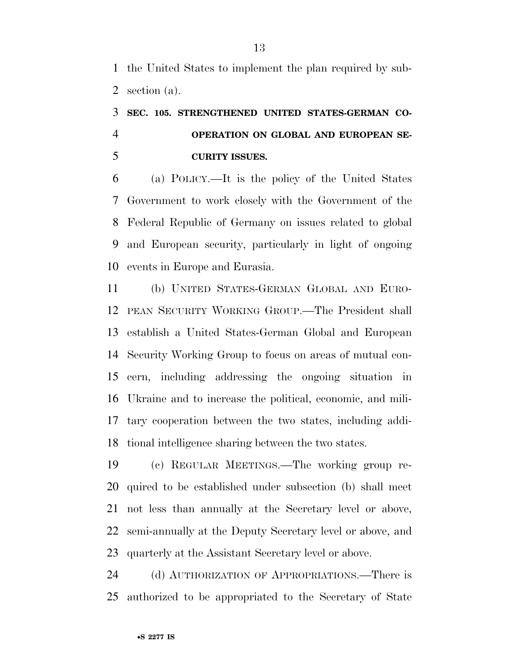the United States to implement the plan required by sub-section (a).

## **SEC. 105. STRENGTHENED UNITED STATES-GERMAN CO- OPERATION ON GLOBAL AND EUROPEAN SE-CURITY ISSUES.**

 (a) POLICY.—It is the policy of the United States Government to work closely with the Government of the Federal Republic of Germany on issues related to global and European security, particularly in light of ongoing events in Europe and Eurasia.

 (b) UNITED STATES-GERMAN GLOBAL AND EURO- PEAN SECURITY WORKING GROUP.—The President shall establish a United States-German Global and European Security Working Group to focus on areas of mutual con- cern, including addressing the ongoing situation in Ukraine and to increase the political, economic, and mili- tary cooperation between the two states, including addi-tional intelligence sharing between the two states.

 (c) REGULAR MEETINGS.—The working group re- quired to be established under subsection (b) shall meet not less than annually at the Secretary level or above, semi-annually at the Deputy Secretary level or above, and quarterly at the Assistant Secretary level or above.

 (d) AUTHORIZATION OF APPROPRIATIONS.—There is authorized to be appropriated to the Secretary of State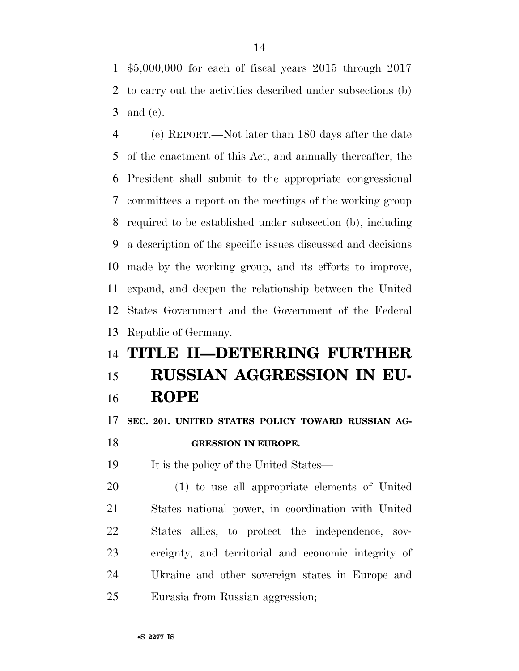\$5,000,000 for each of fiscal years 2015 through 2017 to carry out the activities described under subsections (b) and (c).

 (e) REPORT.—Not later than 180 days after the date of the enactment of this Act, and annually thereafter, the President shall submit to the appropriate congressional committees a report on the meetings of the working group required to be established under subsection (b), including a description of the specific issues discussed and decisions made by the working group, and its efforts to improve, expand, and deepen the relationship between the United States Government and the Government of the Federal Republic of Germany.

## **TITLE II—DETERRING FURTHER RUSSIAN AGGRESSION IN EU-ROPE**

**SEC. 201. UNITED STATES POLICY TOWARD RUSSIAN AG-**

**GRESSION IN EUROPE.** 

It is the policy of the United States—

 (1) to use all appropriate elements of United States national power, in coordination with United States allies, to protect the independence, sov- ereignty, and territorial and economic integrity of Ukraine and other sovereign states in Europe and Eurasia from Russian aggression;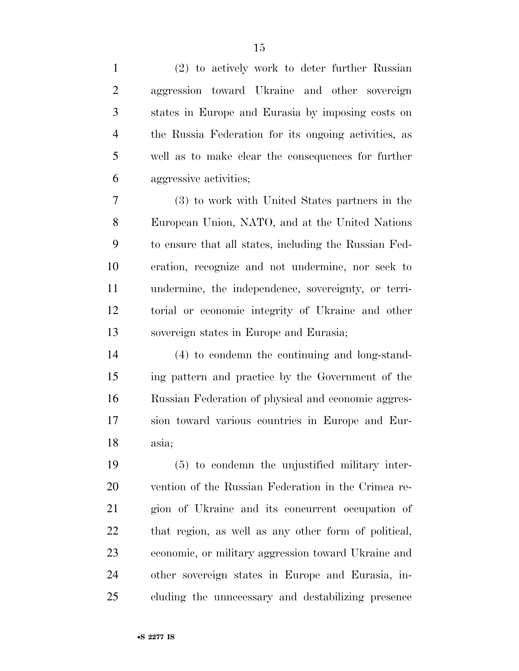(2) to actively work to deter further Russian aggression toward Ukraine and other sovereign states in Europe and Eurasia by imposing costs on the Russia Federation for its ongoing activities, as well as to make clear the consequences for further aggressive activities; (3) to work with United States partners in the European Union, NATO, and at the United Nations to ensure that all states, including the Russian Fed- eration, recognize and not undermine, nor seek to undermine, the independence, sovereignty, or terri- torial or economic integrity of Ukraine and other sovereign states in Europe and Eurasia; (4) to condemn the continuing and long-stand- ing pattern and practice by the Government of the Russian Federation of physical and economic aggres- sion toward various countries in Europe and Eur- asia; (5) to condemn the unjustified military inter- vention of the Russian Federation in the Crimea re- gion of Ukraine and its concurrent occupation of that region, as well as any other form of political, economic, or military aggression toward Ukraine and other sovereign states in Europe and Eurasia, in-cluding the unnecessary and destabilizing presence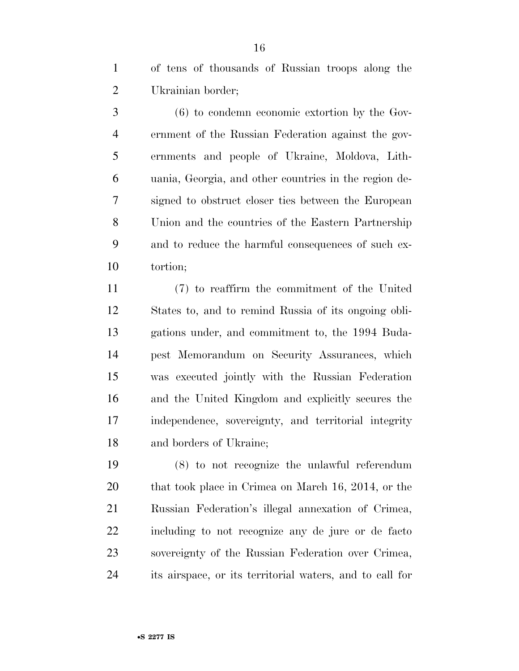of tens of thousands of Russian troops along the Ukrainian border;

 (6) to condemn economic extortion by the Gov- ernment of the Russian Federation against the gov- ernments and people of Ukraine, Moldova, Lith- uania, Georgia, and other countries in the region de- signed to obstruct closer ties between the European Union and the countries of the Eastern Partnership and to reduce the harmful consequences of such ex-tortion;

 (7) to reaffirm the commitment of the United States to, and to remind Russia of its ongoing obli- gations under, and commitment to, the 1994 Buda- pest Memorandum on Security Assurances, which was executed jointly with the Russian Federation and the United Kingdom and explicitly secures the independence, sovereignty, and territorial integrity and borders of Ukraine;

 (8) to not recognize the unlawful referendum 20 that took place in Crimea on March 16, 2014, or the Russian Federation's illegal annexation of Crimea, including to not recognize any de jure or de facto sovereignty of the Russian Federation over Crimea, its airspace, or its territorial waters, and to call for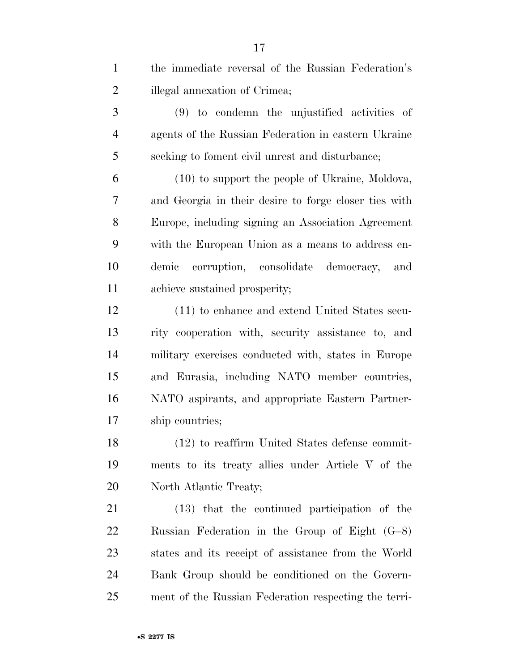| $\mathbf{1}$   | the immediate reversal of the Russian Federation's    |
|----------------|-------------------------------------------------------|
| $\overline{2}$ | illegal annexation of Crimea;                         |
| 3              | $(9)$ to condemn the unjustified activities of        |
| $\overline{4}$ | agents of the Russian Federation in eastern Ukraine   |
| 5              | seeking to foment civil unrest and disturbance;       |
| 6              | (10) to support the people of Ukraine, Moldova,       |
| 7              | and Georgia in their desire to forge closer ties with |
| 8              | Europe, including signing an Association Agreement    |
| 9              | with the European Union as a means to address en-     |
| 10             | demic<br>corruption, consolidate democracy,<br>and    |
| 11             | achieve sustained prosperity;                         |
| 12             | (11) to enhance and extend United States secu-        |
| 13             | rity cooperation with, security assistance to, and    |
| 14             | military exercises conducted with, states in Europe   |
| 15             | and Eurasia, including NATO member countries,         |
| 16             | NATO aspirants, and appropriate Eastern Partner-      |
| 17             | ship countries;                                       |
| 18             | $(12)$ to reaffirm United States defense commit-      |
| 19             | ments to its treaty allies under Article V of the     |
| <b>20</b>      | North Atlantic Treaty;                                |
| 21             | (13) that the continued participation of the          |
| <u>22</u>      | Russian Federation in the Group of Eight $(G-8)$      |
| 23             | states and its receipt of assistance from the World   |
| 24             | Bank Group should be conditioned on the Govern-       |
| 25             | ment of the Russian Federation respecting the terri-  |
|                |                                                       |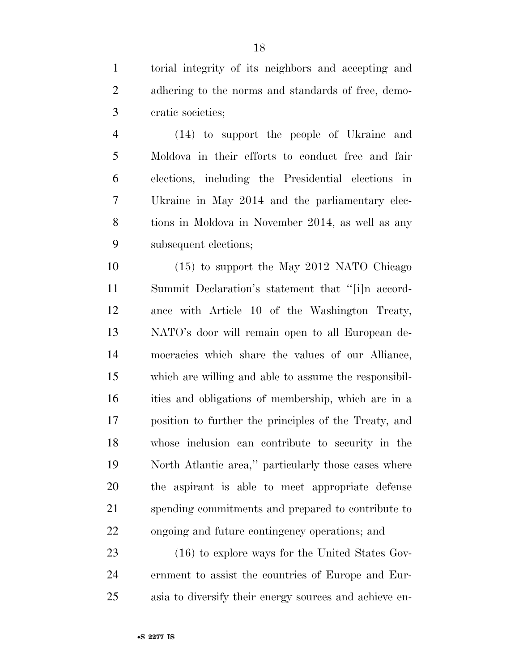torial integrity of its neighbors and accepting and adhering to the norms and standards of free, demo-cratic societies;

 (14) to support the people of Ukraine and Moldova in their efforts to conduct free and fair elections, including the Presidential elections in Ukraine in May 2014 and the parliamentary elec- tions in Moldova in November 2014, as well as any subsequent elections;

 (15) to support the May 2012 NATO Chicago Summit Declaration's statement that ''[i]n accord- ance with Article 10 of the Washington Treaty, NATO's door will remain open to all European de- mocracies which share the values of our Alliance, which are willing and able to assume the responsibil- ities and obligations of membership, which are in a position to further the principles of the Treaty, and whose inclusion can contribute to security in the North Atlantic area,'' particularly those cases where the aspirant is able to meet appropriate defense spending commitments and prepared to contribute to ongoing and future contingency operations; and

23 (16) to explore ways for the United States Gov- ernment to assist the countries of Europe and Eur-asia to diversify their energy sources and achieve en-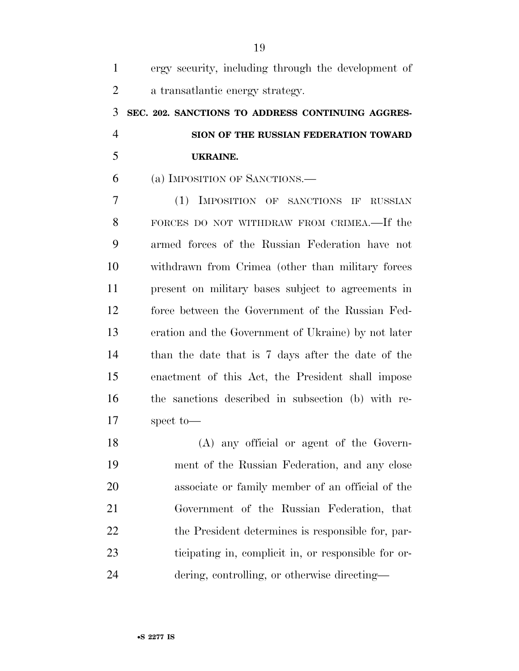| $\mathbf{1}$   | ergy security, including through the development of |
|----------------|-----------------------------------------------------|
| $\overline{2}$ | a transatlantic energy strategy.                    |
| 3              | SEC. 202. SANCTIONS TO ADDRESS CONTINUING AGGRES-   |
| $\overline{4}$ | SION OF THE RUSSIAN FEDERATION TOWARD               |
| 5              | <b>UKRAINE.</b>                                     |
| 6              | (a) IMPOSITION OF SANCTIONS.—                       |
| 7              | (1) IMPOSITION OF SANCTIONS IF RUSSIAN              |
| 8              | FORCES DO NOT WITHDRAW FROM CRIMEA.—If the          |
| 9              | armed forces of the Russian Federation have not     |
| 10             | withdrawn from Crimea (other than military forces   |
| 11             | present on military bases subject to agreements in  |
| 12             | force between the Government of the Russian Fed-    |
| 13             | eration and the Government of Ukraine) by not later |
| 14             | than the date that is 7 days after the date of the  |
| 15             | enactment of this Act, the President shall impose   |
| 16             | the sanctions described in subsection (b) with re-  |
| 17             | spect to-                                           |
| 18             | (A) any official or agent of the Govern-            |
| 19             | ment of the Russian Federation, and any close       |
| 20             | associate or family member of an official of the    |
| 21             | Government of the Russian Federation, that          |
| 22             | the President determines is responsible for, par-   |
| 23             | ticipating in, complicit in, or responsible for or- |
| 24             | dering, controlling, or otherwise directing—        |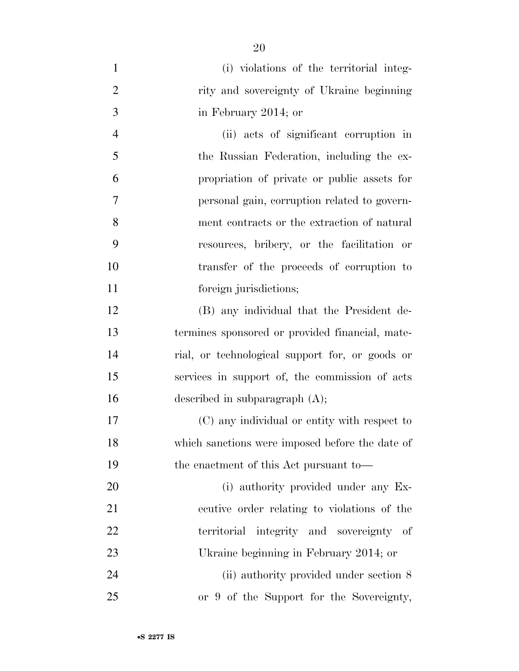| $\mathbf{1}$   | (i) violations of the territorial integ-        |
|----------------|-------------------------------------------------|
| $\mathbf{2}$   | rity and sovereignty of Ukraine beginning       |
| 3              | in February 2014; or                            |
| $\overline{4}$ | (ii) acts of significant corruption in          |
| 5              | the Russian Federation, including the ex-       |
| 6              | propriation of private or public assets for     |
| 7              | personal gain, corruption related to govern-    |
| 8              | ment contracts or the extraction of natural     |
| 9              | resources, bribery, or the facilitation or      |
| 10             | transfer of the proceeds of corruption to       |
| 11             | foreign jurisdictions;                          |
| 12             | (B) any individual that the President de-       |
| 13             | termines sponsored or provided financial, mate- |
| 14             | rial, or technological support for, or goods or |
| 15             | services in support of, the commission of acts  |
| 16             | described in subparagraph $(A)$ ;               |
| 17             | (C) any individual or entity with respect to    |
| 18             | which sanctions were imposed before the date of |
| 19             | the enactment of this Act pursuant to-          |
| 20             | (i) authority provided under any Ex-            |
| 21             | ecutive order relating to violations of the     |
| 22             | territorial integrity and sovereignty of        |
| 23             | Ukraine beginning in February 2014; or          |
| 24             | (ii) authority provided under section 8         |
| 25             | or 9 of the Support for the Sovereignty,        |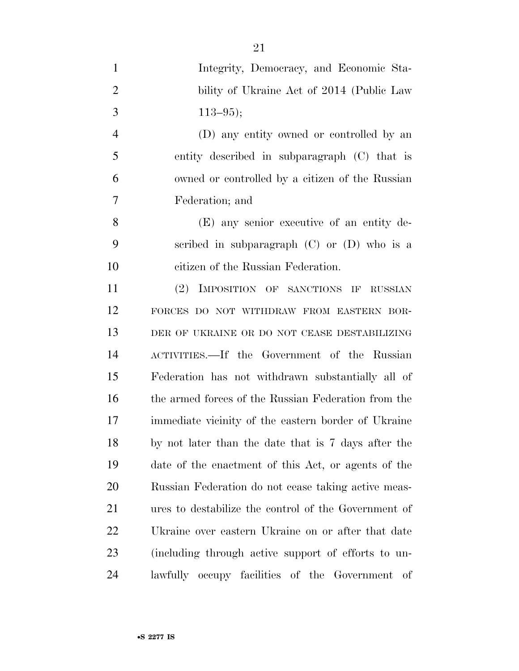Integrity, Democracy, and Economic Sta-2 bility of Ukraine Act of 2014 (Public Law 3  $113-95$ ; (D) any entity owned or controlled by an entity described in subparagraph (C) that is owned or controlled by a citizen of the Russian Federation; and (E) any senior executive of an entity de- scribed in subparagraph (C) or (D) who is a citizen of the Russian Federation. (2) IMPOSITION OF SANCTIONS IF RUSSIAN FORCES DO NOT WITHDRAW FROM EASTERN BOR- DER OF UKRAINE OR DO NOT CEASE DESTABILIZING ACTIVITIES.—If the Government of the Russian Federation has not withdrawn substantially all of the armed forces of the Russian Federation from the immediate vicinity of the eastern border of Ukraine by not later than the date that is 7 days after the date of the enactment of this Act, or agents of the Russian Federation do not cease taking active meas- ures to destabilize the control of the Government of Ukraine over eastern Ukraine on or after that date (including through active support of efforts to un-lawfully occupy facilities of the Government of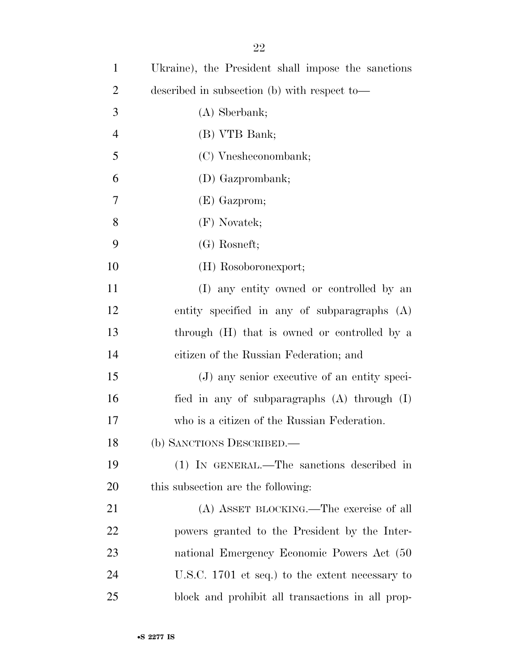| $\mathbf{1}$   | Ukraine), the President shall impose the sanctions |
|----------------|----------------------------------------------------|
| $\overline{2}$ | described in subsection (b) with respect to-       |
| 3              | $(A)$ Sberbank;                                    |
| $\overline{4}$ | (B) VTB Bank;                                      |
| 5              | (C) Vnesheconombank;                               |
| 6              | (D) Gazprombank;                                   |
| 7              | (E) Gazprom;                                       |
| 8              | (F) Novatek;                                       |
| 9              | $(G)$ Rosneft;                                     |
| 10             | (H) Rosoboronexport;                               |
| 11             | (I) any entity owned or controlled by an           |
| 12             | entity specified in any of subparagraphs $(A)$     |
| 13             | through (H) that is owned or controlled by a       |
| 14             | citizen of the Russian Federation; and             |
| 15             | (J) any senior executive of an entity speci-       |
| 16             | fied in any of subparagraphs $(A)$ through $(I)$   |
| 17             | who is a citizen of the Russian Federation.        |
| 18             | (b) SANCTIONS DESCRIBED.                           |
| 19             | (1) IN GENERAL.—The sanctions described in         |
| 20             | this subsection are the following:                 |
| 21             | (A) ASSET BLOCKING.—The exercise of all            |
| 22             | powers granted to the President by the Inter-      |
| 23             | national Emergency Economic Powers Act (50         |
| 24             | U.S.C. 1701 et seq.) to the extent necessary to    |
| 25             | block and prohibit all transactions in all prop-   |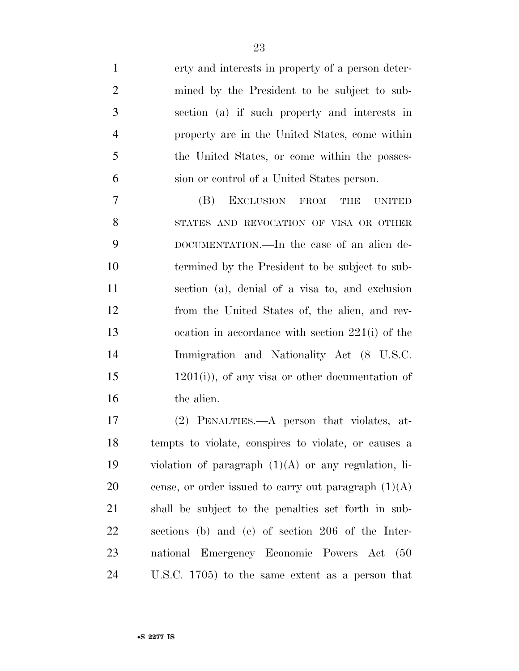| $\mathbf{1}$   | erty and interests in property of a person deter-       |
|----------------|---------------------------------------------------------|
| $\overline{2}$ | mined by the President to be subject to sub-            |
| 3              | section (a) if such property and interests in           |
| $\overline{4}$ | property are in the United States, come within          |
| 5              | the United States, or come within the posses-           |
| 6              | sion or control of a United States person.              |
| 7              | (B)<br>EXCLUSION<br><b>FROM</b><br>THE<br><b>UNITED</b> |
| 8              | STATES AND REVOCATION OF VISA OR OTHER                  |
| 9              | DOCUMENTATION.—In the case of an alien de-              |
| 10             | termined by the President to be subject to sub-         |
| 11             | section (a), denial of a visa to, and exclusion         |
| 12             | from the United States of, the alien, and rev-          |
| 13             | ocation in accordance with section $221(i)$ of the      |
| 14             | Immigration and Nationality Act (8 U.S.C.               |
| 15             | $(1201(i))$ , of any visa or other documentation of     |
| 16             | the alien.                                              |
| 17             | (2) PENALTIES.—A person that violates, at-              |
| 18             | tempts to violate, conspires to violate, or causes a    |
| 19             | violation of paragraph $(1)(A)$ or any regulation, li-  |
| 20             | cense, or order issued to carry out paragraph $(1)(A)$  |
| 21             | shall be subject to the penalties set forth in sub-     |
| 22             | sections (b) and (c) of section 206 of the Inter-       |
| 23             | national Emergency Economic Powers Act<br>(50)          |
| 24             | U.S.C. $1705$ to the same extent as a person that       |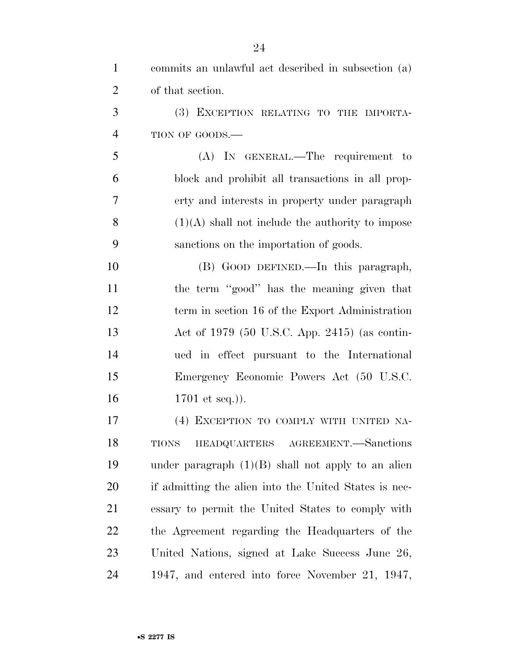| $\mathbf{1}$   | commits an unlawful act described in subsection (a)   |
|----------------|-------------------------------------------------------|
| $\overline{2}$ | of that section.                                      |
| 3              | (3) EXCEPTION RELATING TO THE IMPORTA-                |
| $\overline{4}$ | TION OF GOODS.-                                       |
| 5              | (A) IN GENERAL.—The requirement to                    |
| 6              | block and prohibit all transactions in all prop-      |
| $\overline{7}$ | erty and interests in property under paragraph        |
| 8              | $(1)(A)$ shall not include the authority to impose    |
| 9              | sanctions on the importation of goods.                |
| 10             | (B) GOOD DEFINED.—In this paragraph,                  |
| 11             | the term "good" has the meaning given that            |
| 12             | term in section 16 of the Export Administration       |
| 13             | Act of 1979 (50 U.S.C. App. 2415) (as contin-         |
| 14             | ued in effect pursuant to the International           |
| 15             | Emergency Economic Powers Act (50 U.S.C.              |
| 16             | 1701 et seq.).                                        |
| 17             | (4) EXCEPTION TO COMPLY WITH UNITED NA-               |
| 18             | HEADQUARTERS AGREEMENT. Sanctions<br><b>TIONS</b>     |
| 19             | under paragraph $(1)(B)$ shall not apply to an alien  |
| 20             | if admitting the alien into the United States is nec- |
| 21             | essary to permit the United States to comply with     |
| 22             | the Agreement regarding the Headquarters of the       |
| 23             | United Nations, signed at Lake Success June 26,       |
| 24             | 1947, and entered into force November 21, 1947,       |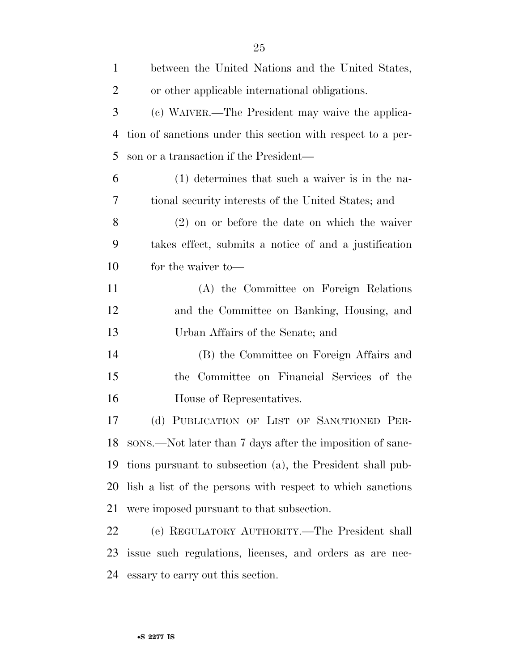| $\mathbf{1}$   | between the United Nations and the United States,           |
|----------------|-------------------------------------------------------------|
| $\overline{2}$ | or other applicable international obligations.              |
| 3              | (c) WAIVER.—The President may waive the applica-            |
| $\overline{4}$ | tion of sanctions under this section with respect to a per- |
| 5              | son or a transaction if the President—                      |
| 6              | $(1)$ determines that such a waiver is in the na-           |
| 7              | tional security interests of the United States; and         |
| 8              | $(2)$ on or before the date on which the waiver             |
| 9              | takes effect, submits a notice of and a justification       |
| 10             | for the waiver to —                                         |
| 11             | (A) the Committee on Foreign Relations                      |
| 12             | and the Committee on Banking, Housing, and                  |
| 13             | Urban Affairs of the Senate; and                            |
| 14             | (B) the Committee on Foreign Affairs and                    |
| 15             | Committee on Financial Services of the<br>the               |
| 16             | House of Representatives.                                   |
| 17             | (d) PUBLICATION OF LIST OF SANCTIONED PER-                  |
| 18             | sons.—Not later than 7 days after the imposition of sanc-   |
| 19             | tions pursuant to subsection (a), the President shall pub-  |
| 20             | lish a list of the persons with respect to which sanctions  |
| 21             | were imposed pursuant to that subsection.                   |
| 22             | (e) REGULATORY AUTHORITY.—The President shall               |
| 23             | issue such regulations, licenses, and orders as are nec-    |
| 24             | essary to carry out this section.                           |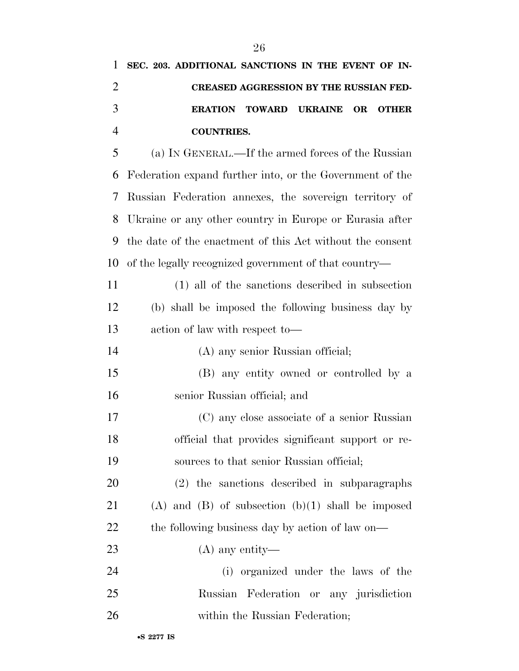|               | 1 SEC. 203. ADDITIONAL SANCTIONS IN THE EVENT OF IN- |                                               |  |  |
|---------------|------------------------------------------------------|-----------------------------------------------|--|--|
|               |                                                      | <b>CREASED AGGRESSION BY THE RUSSIAN FED-</b> |  |  |
| $\mathcal{R}$ |                                                      | ERATION TOWARD UKRAINE OR OTHER               |  |  |
|               | <b>COUNTRIES.</b>                                    |                                               |  |  |

 (a) IN GENERAL.—If the armed forces of the Russian Federation expand further into, or the Government of the Russian Federation annexes, the sovereign territory of Ukraine or any other country in Europe or Eurasia after the date of the enactment of this Act without the consent of the legally recognized government of that country—

| 11 | (1) all of the sanctions described in subsection   |
|----|----------------------------------------------------|
| 12 | (b) shall be imposed the following business day by |
| 13 | action of law with respect to-                     |
| 14 | (A) any senior Russian official;                   |
|    |                                                    |

- (B) any entity owned or controlled by a senior Russian official; and
- (C) any close associate of a senior Russian official that provides significant support or re-sources to that senior Russian official;

 (2) the sanctions described in subparagraphs (A) and (B) of subsection (b)(1) shall be imposed 22 the following business day by action of law on—

- (A) any entity—
- (i) organized under the laws of the Russian Federation or any jurisdiction 26 within the Russian Federation;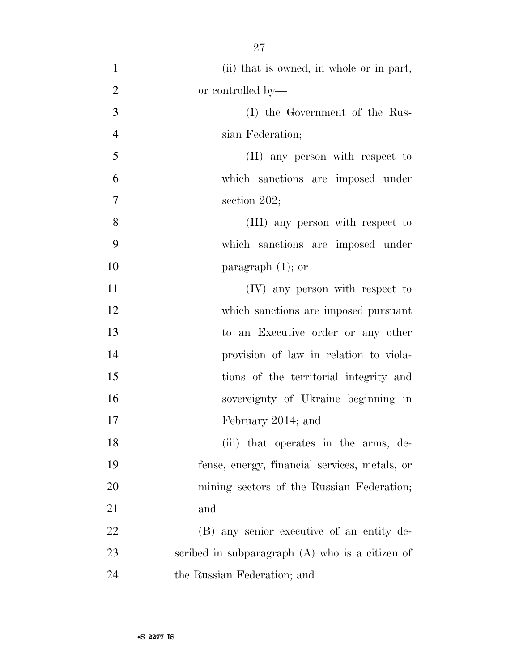| $\mathbf{1}$   | (ii) that is owned, in whole or in part,          |
|----------------|---------------------------------------------------|
| $\overline{2}$ | or controlled by—                                 |
| 3              | (I) the Government of the Rus-                    |
| $\overline{4}$ | sian Federation;                                  |
| 5              | (II) any person with respect to                   |
| 6              | which sanctions are imposed under                 |
| $\overline{7}$ | section $202$ ;                                   |
| 8              | (III) any person with respect to                  |
| 9              | which sanctions are imposed under                 |
| 10             | paragraph $(1)$ ; or                              |
| 11             | (IV) any person with respect to                   |
| 12             | which sanctions are imposed pursuant              |
| 13             | to an Executive order or any other                |
| 14             | provision of law in relation to viola-            |
| 15             | tions of the territorial integrity and            |
| 16             | sovereignty of Ukraine beginning in               |
| 17             | February 2014; and                                |
| 18             | (iii) that operates in the arms, de-              |
| 19             | fense, energy, financial services, metals, or     |
| 20             | mining sectors of the Russian Federation;         |
| 21             | and                                               |
| 22             | (B) any senior executive of an entity de-         |
| 23             | scribed in subparagraph $(A)$ who is a citizen of |
| 24             | the Russian Federation; and                       |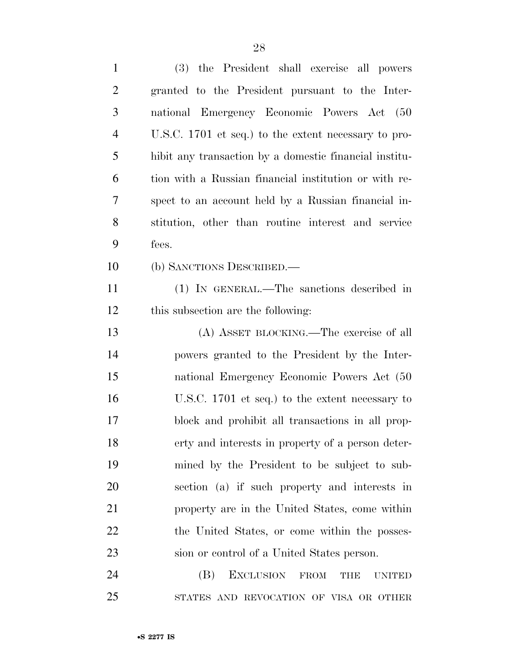| $\mathbf{1}$   | the President shall exercise all powers<br><b>(3)</b>          |
|----------------|----------------------------------------------------------------|
| $\overline{2}$ | granted to the President pursuant to the Inter-                |
| 3              | national Emergency Economic Powers Act (50                     |
| $\overline{4}$ | U.S.C. 1701 et seq.) to the extent necessary to pro-           |
| 5              | hibit any transaction by a domestic financial institu-         |
| 6              | tion with a Russian financial institution or with re-          |
| 7              | spect to an account held by a Russian financial in-            |
| 8              | stitution, other than routine interest and service             |
| 9              | fees.                                                          |
| 10             | (b) SANCTIONS DESCRIBED.—                                      |
| 11             | (1) IN GENERAL.—The sanctions described in                     |
| 12             | this subsection are the following:                             |
| 13             | (A) ASSET BLOCKING.—The exercise of all                        |
| 14             | powers granted to the President by the Inter-                  |
| 15             | national Emergency Economic Powers Act (50                     |
| 16             | U.S.C. 1701 et seq.) to the extent necessary to                |
| 17             | block and prohibit all transactions in all prop-               |
| 18             | erty and interests in property of a person deter-              |
| 19             | mined by the President to be subject to sub-                   |
| 20             | section (a) if such property and interests in                  |
| 21             | property are in the United States, come within                 |
| 22             | the United States, or come within the posses-                  |
| 23             | sion or control of a United States person.                     |
| 24             | <b>EXCLUSION</b><br>(B)<br><b>FROM</b><br>THE<br><b>UNITED</b> |
| 25             | STATES AND REVOCATION OF VISA OR OTHER                         |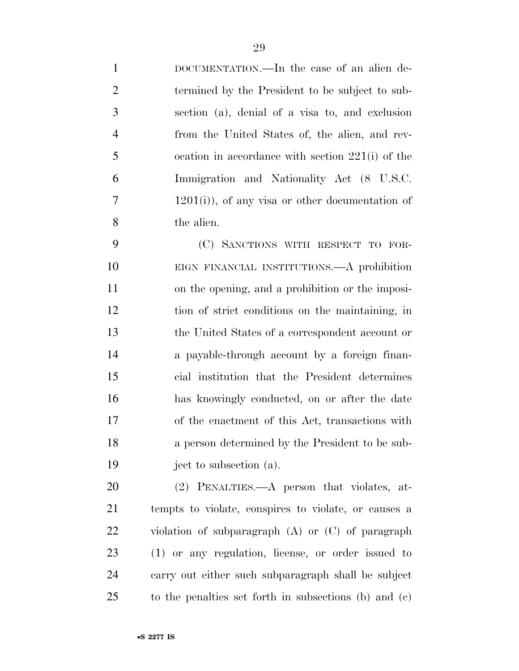DOCUMENTATION.—In the case of an alien de- termined by the President to be subject to sub- section (a), denial of a visa to, and exclusion from the United States of, the alien, and rev- ocation in accordance with section 221(i) of the Immigration and Nationality Act (8 U.S.C. 1201(i)), of any visa or other documentation of the alien.

 (C) SANCTIONS WITH RESPECT TO FOR- EIGN FINANCIAL INSTITUTIONS.—A prohibition on the opening, and a prohibition or the imposi- tion of strict conditions on the maintaining, in the United States of a correspondent account or a payable-through account by a foreign finan- cial institution that the President determines has knowingly conducted, on or after the date of the enactment of this Act, transactions with a person determined by the President to be sub-ject to subsection (a).

 (2) PENALTIES.—A person that violates, at- tempts to violate, conspires to violate, or causes a violation of subparagraph (A) or (C) of paragraph (1) or any regulation, license, or order issued to carry out either such subparagraph shall be subject to the penalties set forth in subsections (b) and (c)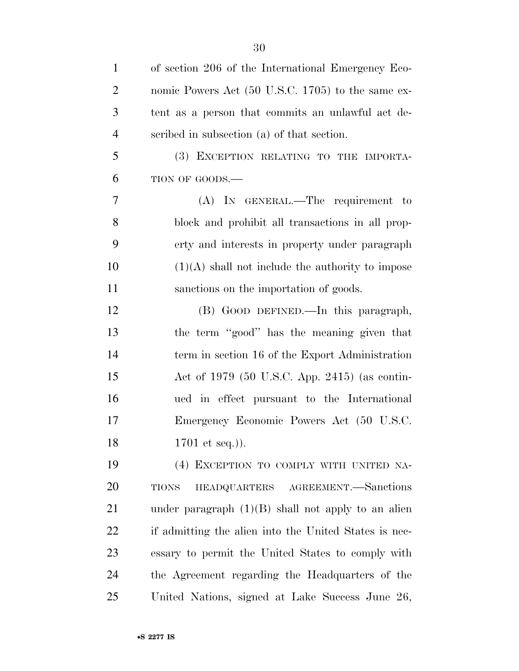| $\mathbf{1}$   | of section 206 of the International Emergency Eco-    |
|----------------|-------------------------------------------------------|
| $\overline{2}$ | nomic Powers Act (50 U.S.C. 1705) to the same ex-     |
| 3              | tent as a person that commits an unlawful act de-     |
| $\overline{4}$ | scribed in subsection (a) of that section.            |
| 5              | (3) EXCEPTION RELATING TO THE IMPORTA-                |
| 6              | TION OF GOODS.-                                       |
| 7              | (A) IN GENERAL.—The requirement to                    |
| 8              | block and prohibit all transactions in all prop-      |
| 9              | erty and interests in property under paragraph        |
| 10             | $(1)(A)$ shall not include the authority to impose    |
| 11             | sanctions on the importation of goods.                |
| 12             | (B) GOOD DEFINED.—In this paragraph,                  |
| 13             | the term "good" has the meaning given that            |
| 14             | term in section 16 of the Export Administration       |
| 15             | Act of 1979 (50 U.S.C. App. 2415) (as contin-         |
| 16             | ued in effect pursuant to the International           |
| 17             | Emergency Economic Powers Act (50 U.S.C.              |
| 18             | 1701 et seq.)).                                       |
| 19             | (4) EXCEPTION TO COMPLY WITH UNITED NA-               |
| 20             | HEADQUARTERS AGREEMENT. Sanctions<br><b>TIONS</b>     |
| 21             | under paragraph $(1)(B)$ shall not apply to an alien  |
| 22             | if admitting the alien into the United States is nec- |
| 23             | essary to permit the United States to comply with     |
| 24             | the Agreement regarding the Headquarters of the       |
| 25             | United Nations, signed at Lake Success June 26,       |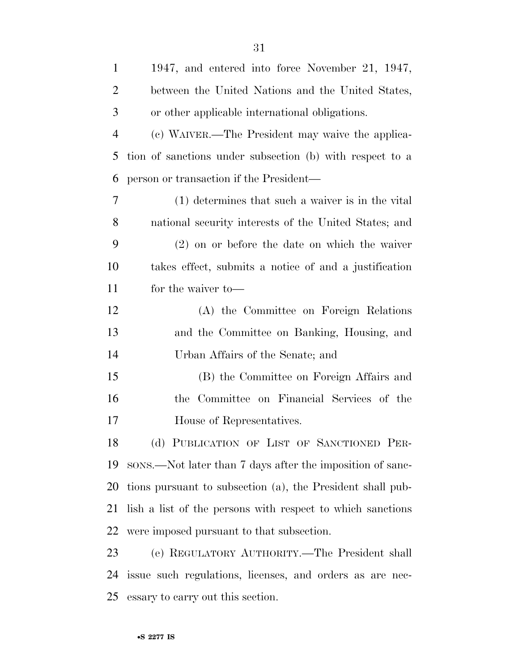| $\mathbf{1}$   | 1947, and entered into force November 21, 1947,            |
|----------------|------------------------------------------------------------|
| $\overline{2}$ | between the United Nations and the United States,          |
| 3              | or other applicable international obligations.             |
| $\overline{4}$ | (c) WAIVER.—The President may waive the applica-           |
| 5              | tion of sanctions under subsection (b) with respect to a   |
| 6              | person or transaction if the President—                    |
| 7              | (1) determines that such a waiver is in the vital          |
| 8              | national security interests of the United States; and      |
| 9              | $(2)$ on or before the date on which the waiver            |
| 10             | takes effect, submits a notice of and a justification      |
| 11             | for the waiver to-                                         |
| 12             | (A) the Committee on Foreign Relations                     |
| 13             | and the Committee on Banking, Housing, and                 |
| 14             | Urban Affairs of the Senate; and                           |
| 15             | (B) the Committee on Foreign Affairs and                   |
| 16             | the Committee on Financial Services of the                 |
| 17             | House of Representatives.                                  |
| 18             | (d) PUBLICATION OF LIST OF SANCTIONED PER-                 |
| 19             | sons.—Not later than 7 days after the imposition of sanc-  |
| 20             | tions pursuant to subsection (a), the President shall pub- |
| 21             | lish a list of the persons with respect to which sanctions |
| 22             | were imposed pursuant to that subsection.                  |
| 23             | (e) REGULATORY AUTHORITY.—The President shall              |
| 24             | issue such regulations, licenses, and orders as are nec-   |
| 25             | essary to carry out this section.                          |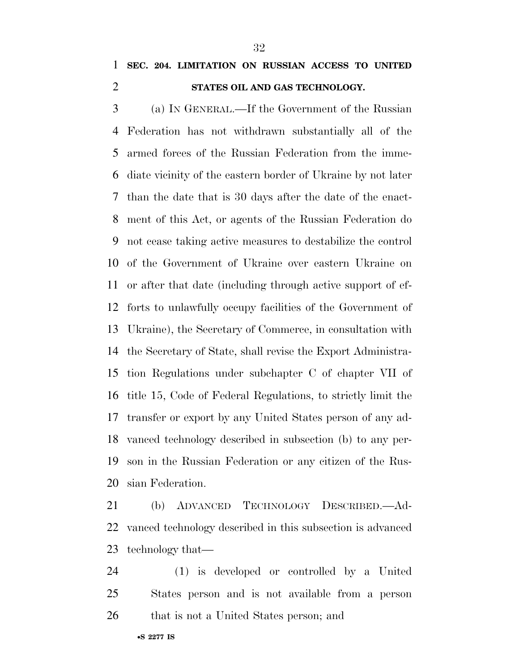### **SEC. 204. LIMITATION ON RUSSIAN ACCESS TO UNITED STATES OIL AND GAS TECHNOLOGY.**

 (a) IN GENERAL.—If the Government of the Russian Federation has not withdrawn substantially all of the armed forces of the Russian Federation from the imme- diate vicinity of the eastern border of Ukraine by not later than the date that is 30 days after the date of the enact- ment of this Act, or agents of the Russian Federation do not cease taking active measures to destabilize the control of the Government of Ukraine over eastern Ukraine on or after that date (including through active support of ef- forts to unlawfully occupy facilities of the Government of Ukraine), the Secretary of Commerce, in consultation with the Secretary of State, shall revise the Export Administra- tion Regulations under subchapter C of chapter VII of title 15, Code of Federal Regulations, to strictly limit the transfer or export by any United States person of any ad- vanced technology described in subsection (b) to any per- son in the Russian Federation or any citizen of the Rus-sian Federation.

 (b) ADVANCED TECHNOLOGY DESCRIBED.—Ad- vanced technology described in this subsection is advanced technology that—

 (1) is developed or controlled by a United States person and is not available from a person 26 that is not a United States person; and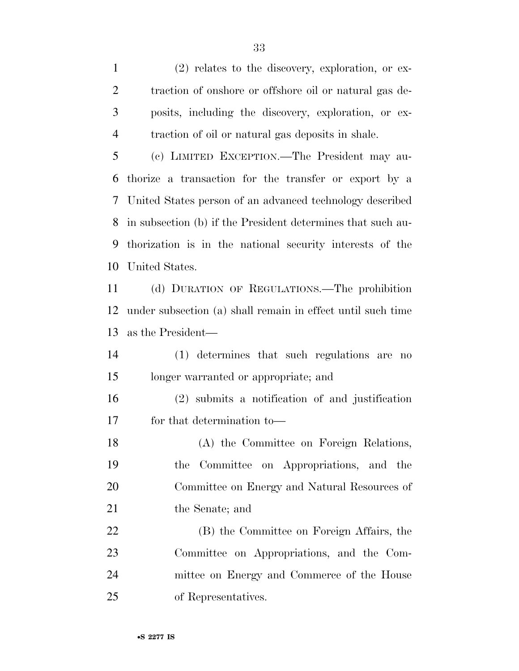(2) relates to the discovery, exploration, or ex- traction of onshore or offshore oil or natural gas de- posits, including the discovery, exploration, or ex-traction of oil or natural gas deposits in shale.

 (c) LIMITED EXCEPTION.—The President may au- thorize a transaction for the transfer or export by a United States person of an advanced technology described in subsection (b) if the President determines that such au- thorization is in the national security interests of the United States.

 (d) DURATION OF REGULATIONS.—The prohibition under subsection (a) shall remain in effect until such time as the President—

- (1) determines that such regulations are no longer warranted or appropriate; and
- (2) submits a notification of and justification for that determination to—

 (A) the Committee on Foreign Relations, the Committee on Appropriations, and the Committee on Energy and Natural Resources of 21 the Senate; and

 (B) the Committee on Foreign Affairs, the Committee on Appropriations, and the Com- mittee on Energy and Commerce of the House of Representatives.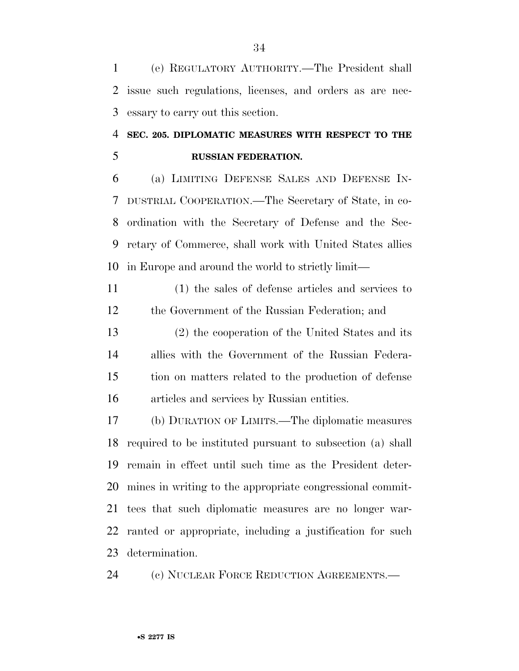(e) REGULATORY AUTHORITY.—The President shall issue such regulations, licenses, and orders as are nec-essary to carry out this section.

### **SEC. 205. DIPLOMATIC MEASURES WITH RESPECT TO THE RUSSIAN FEDERATION.**

 (a) LIMITING DEFENSE SALES AND DEFENSE IN- DUSTRIAL COOPERATION.—The Secretary of State, in co- ordination with the Secretary of Defense and the Sec- retary of Commerce, shall work with United States allies in Europe and around the world to strictly limit—

 (1) the sales of defense articles and services to the Government of the Russian Federation; and

 (2) the cooperation of the United States and its allies with the Government of the Russian Federa- tion on matters related to the production of defense articles and services by Russian entities.

 (b) DURATION OF LIMITS.—The diplomatic measures required to be instituted pursuant to subsection (a) shall remain in effect until such time as the President deter- mines in writing to the appropriate congressional commit- tees that such diplomatic measures are no longer war- ranted or appropriate, including a justification for such determination.

(c) NUCLEAR FORCE REDUCTION AGREEMENTS.—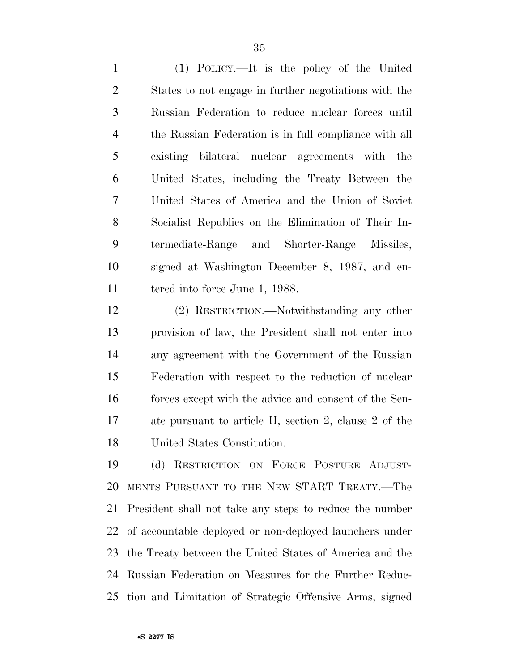(1) POLICY.—It is the policy of the United States to not engage in further negotiations with the Russian Federation to reduce nuclear forces until the Russian Federation is in full compliance with all existing bilateral nuclear agreements with the United States, including the Treaty Between the United States of America and the Union of Soviet Socialist Republics on the Elimination of Their In- termediate-Range and Shorter-Range Missiles, signed at Washington December 8, 1987, and en-11 tered into force June 1, 1988.

 (2) RESTRICTION.—Notwithstanding any other provision of law, the President shall not enter into any agreement with the Government of the Russian Federation with respect to the reduction of nuclear 16 forces except with the advice and consent of the Sen- ate pursuant to article II, section 2, clause 2 of the United States Constitution.

 (d) RESTRICTION ON FORCE POSTURE ADJUST- MENTS PURSUANT TO THE NEW START TREATY.—The President shall not take any steps to reduce the number of accountable deployed or non-deployed launchers under the Treaty between the United States of America and the Russian Federation on Measures for the Further Reduc-tion and Limitation of Strategic Offensive Arms, signed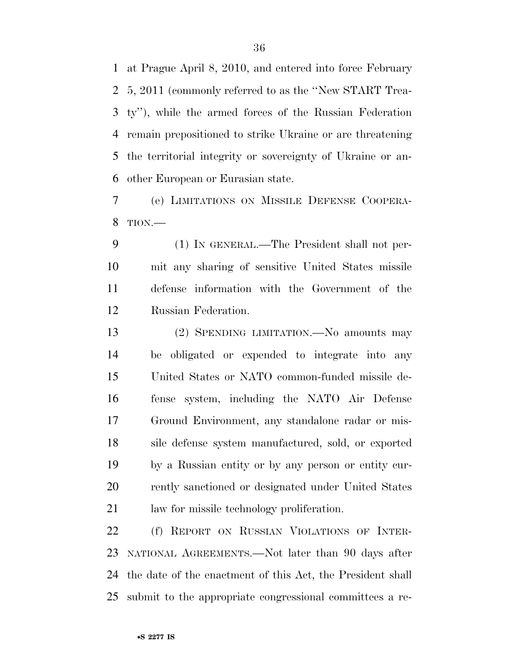at Prague April 8, 2010, and entered into force February 5, 2011 (commonly referred to as the ''New START Trea- ty''), while the armed forces of the Russian Federation remain prepositioned to strike Ukraine or are threatening the territorial integrity or sovereignty of Ukraine or an-other European or Eurasian state.

 (e) LIMITATIONS ON MISSILE DEFENSE COOPERA-TION.—

 (1) IN GENERAL.—The President shall not per- mit any sharing of sensitive United States missile defense information with the Government of the Russian Federation.

 (2) SPENDING LIMITATION.—No amounts may be obligated or expended to integrate into any United States or NATO common-funded missile de- fense system, including the NATO Air Defense Ground Environment, any standalone radar or mis- sile defense system manufactured, sold, or exported by a Russian entity or by any person or entity cur-20 rently sanctioned or designated under United States law for missile technology proliferation.

 (f) REPORT ON RUSSIAN VIOLATIONS OF INTER- NATIONAL AGREEMENTS.—Not later than 90 days after the date of the enactment of this Act, the President shall submit to the appropriate congressional committees a re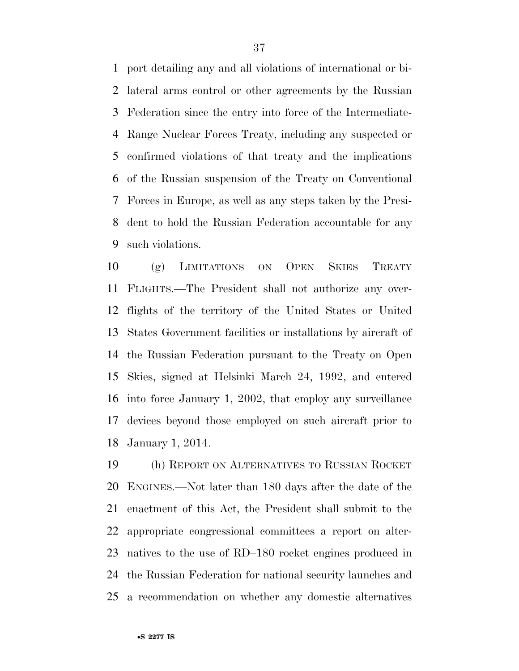port detailing any and all violations of international or bi- lateral arms control or other agreements by the Russian Federation since the entry into force of the Intermediate- Range Nuclear Forces Treaty, including any suspected or confirmed violations of that treaty and the implications of the Russian suspension of the Treaty on Conventional Forces in Europe, as well as any steps taken by the Presi- dent to hold the Russian Federation accountable for any such violations.

 (g) LIMITATIONS ON OPEN SKIES TREATY FLIGHTS.—The President shall not authorize any over- flights of the territory of the United States or United States Government facilities or installations by aircraft of the Russian Federation pursuant to the Treaty on Open Skies, signed at Helsinki March 24, 1992, and entered into force January 1, 2002, that employ any surveillance devices beyond those employed on such aircraft prior to January 1, 2014.

 (h) REPORT ON ALTERNATIVES TO RUSSIAN ROCKET ENGINES.—Not later than 180 days after the date of the enactment of this Act, the President shall submit to the appropriate congressional committees a report on alter- natives to the use of RD–180 rocket engines produced in the Russian Federation for national security launches and a recommendation on whether any domestic alternatives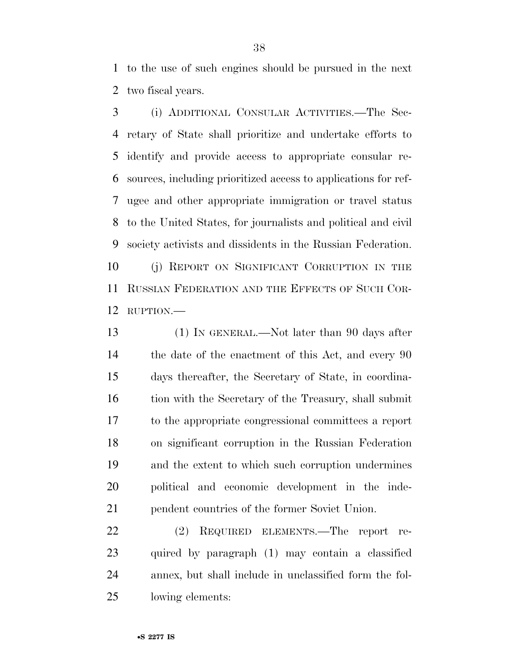to the use of such engines should be pursued in the next two fiscal years.

 (i) ADDITIONAL CONSULAR ACTIVITIES.—The Sec- retary of State shall prioritize and undertake efforts to identify and provide access to appropriate consular re- sources, including prioritized access to applications for ref- ugee and other appropriate immigration or travel status to the United States, for journalists and political and civil society activists and dissidents in the Russian Federation. (j) REPORT ON SIGNIFICANT CORRUPTION IN THE RUSSIAN FEDERATION AND THE EFFECTS OF SUCH COR-RUPTION.—

 (1) IN GENERAL.—Not later than 90 days after the date of the enactment of this Act, and every 90 days thereafter, the Secretary of State, in coordina-16 tion with the Secretary of the Treasury, shall submit to the appropriate congressional committees a report on significant corruption in the Russian Federation and the extent to which such corruption undermines political and economic development in the inde-pendent countries of the former Soviet Union.

 (2) REQUIRED ELEMENTS.—The report re- quired by paragraph (1) may contain a classified annex, but shall include in unclassified form the fol-lowing elements: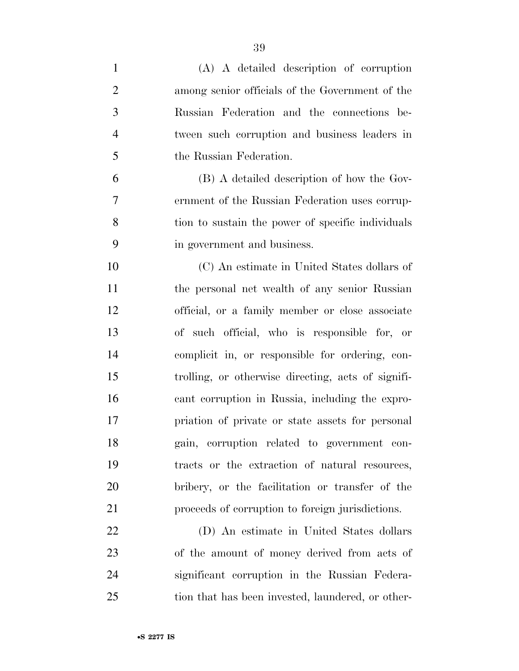| $\mathbf{1}$   | (A) A detailed description of corruption           |
|----------------|----------------------------------------------------|
| $\overline{2}$ | among senior officials of the Government of the    |
| 3              | Russian Federation and the connections be-         |
| $\overline{4}$ | tween such corruption and business leaders in      |
| 5              | the Russian Federation.                            |
| 6              | (B) A detailed description of how the Gov-         |
| 7              | ernment of the Russian Federation uses corrup-     |
| 8              | tion to sustain the power of specific individuals  |
| 9              | in government and business.                        |
| 10             | (C) An estimate in United States dollars of        |
| 11             | the personal net wealth of any senior Russian      |
| 12             | official, or a family member or close associate    |
| 13             | of such official, who is responsible for, or       |
| 14             | complicit in, or responsible for ordering, con-    |
| 15             | trolling, or otherwise directing, acts of signifi- |
| 16             | cant corruption in Russia, including the expro-    |
| 17             | priation of private or state assets for personal   |
| 18             | gain, corruption related to government con-        |
| 19             | tracts or the extraction of natural resources,     |
| 20             | bribery, or the facilitation or transfer of the    |
| 21             | proceeds of corruption to foreign jurisdictions.   |
| 22             | (D) An estimate in United States dollars           |
| 23             | of the amount of money derived from acts of        |
| 24             | significant corruption in the Russian Federa-      |
| 25             | tion that has been invested, laundered, or other-  |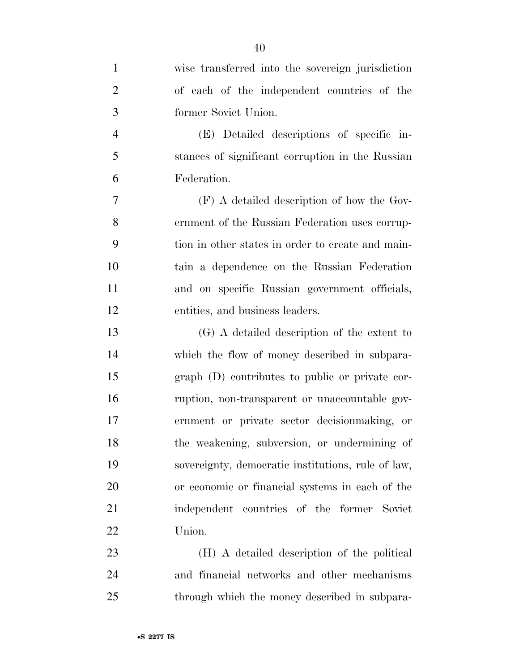| $\mathbf{1}$   | wise transferred into the sovereign jurisdiction   |
|----------------|----------------------------------------------------|
| $\overline{2}$ | of each of the independent countries of the        |
| 3              | former Soviet Union.                               |
| $\overline{4}$ | (E) Detailed descriptions of specific in-          |
| 5              | stances of significant corruption in the Russian   |
| 6              | Federation.                                        |
| 7              | $(F)$ A detailed description of how the Gov-       |
| 8              | ernment of the Russian Federation uses corrup-     |
| 9              | tion in other states in order to create and main-  |
| 10             | tain a dependence on the Russian Federation        |
| 11             | and on specific Russian government officials,      |
| 12             | entities, and business leaders.                    |
| 13             | (G) A detailed description of the extent to        |
| 14             | which the flow of money described in subpara-      |
| 15             | graph (D) contributes to public or private cor-    |
| 16             | ruption, non-transparent or unaccountable gov-     |
| 17             | ernment or private sector decision making, or      |
| 18             | the weakening, subversion, or undermining of       |
| 19             | sovereignty, democratic institutions, rule of law, |
| 20             | or economic or financial systems in each of the    |
| 21             | independent countries of the former Soviet         |
| 22             | Union.                                             |
| 23             | (H) A detailed description of the political        |
| 24             | and financial networks and other mechanisms        |
| 25             | through which the money described in subpara-      |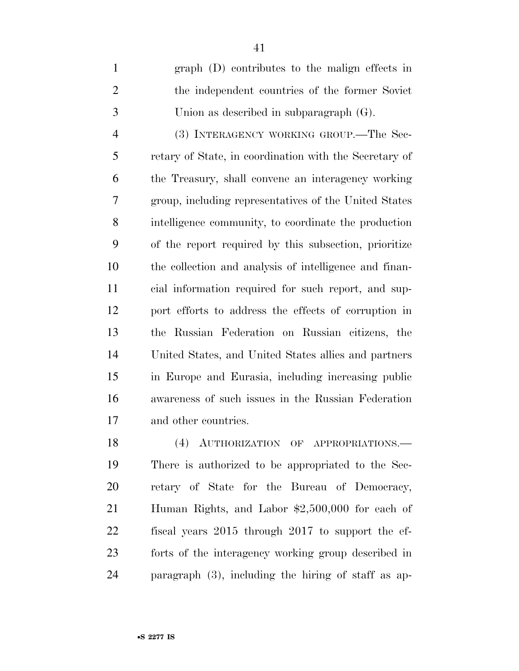graph (D) contributes to the malign effects in the independent countries of the former Soviet Union as described in subparagraph (G).

 (3) INTERAGENCY WORKING GROUP.—The Sec- retary of State, in coordination with the Secretary of the Treasury, shall convene an interagency working group, including representatives of the United States intelligence community, to coordinate the production of the report required by this subsection, prioritize the collection and analysis of intelligence and finan- cial information required for such report, and sup- port efforts to address the effects of corruption in the Russian Federation on Russian citizens, the United States, and United States allies and partners in Europe and Eurasia, including increasing public awareness of such issues in the Russian Federation and other countries.

18 (4) AUTHORIZATION OF APPROPRIATIONS. There is authorized to be appropriated to the Sec- retary of State for the Bureau of Democracy, Human Rights, and Labor \$2,500,000 for each of fiscal years 2015 through 2017 to support the ef- forts of the interagency working group described in paragraph (3), including the hiring of staff as ap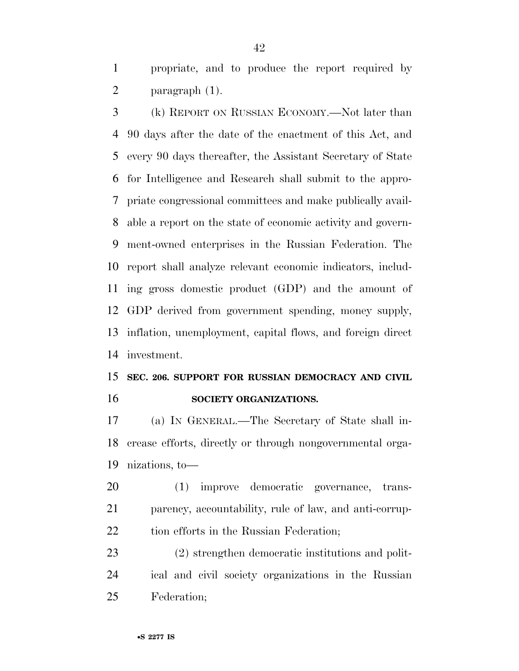propriate, and to produce the report required by paragraph (1).

 (k) REPORT ON RUSSIAN ECONOMY.—Not later than 90 days after the date of the enactment of this Act, and every 90 days thereafter, the Assistant Secretary of State for Intelligence and Research shall submit to the appro- priate congressional committees and make publically avail- able a report on the state of economic activity and govern- ment-owned enterprises in the Russian Federation. The report shall analyze relevant economic indicators, includ- ing gross domestic product (GDP) and the amount of GDP derived from government spending, money supply, inflation, unemployment, capital flows, and foreign direct investment.

### **SEC. 206. SUPPORT FOR RUSSIAN DEMOCRACY AND CIVIL SOCIETY ORGANIZATIONS.**

 (a) IN GENERAL.—The Secretary of State shall in- crease efforts, directly or through nongovernmental orga-nizations, to—

 (1) improve democratic governance, trans- parency, accountability, rule of law, and anti-corrup-22 tion efforts in the Russian Federation;

 (2) strengthen democratic institutions and polit- ical and civil society organizations in the Russian Federation;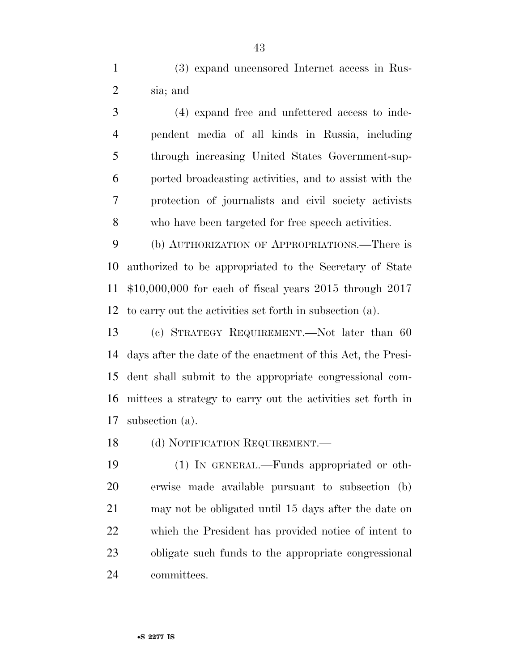(3) expand uncensored Internet access in Rus-sia; and

 (4) expand free and unfettered access to inde- pendent media of all kinds in Russia, including through increasing United States Government-sup- ported broadcasting activities, and to assist with the protection of journalists and civil society activists who have been targeted for free speech activities.

 (b) AUTHORIZATION OF APPROPRIATIONS.—There is authorized to be appropriated to the Secretary of State \$10,000,000 for each of fiscal years 2015 through 2017 to carry out the activities set forth in subsection (a).

 (c) STRATEGY REQUIREMENT.—Not later than 60 days after the date of the enactment of this Act, the Presi- dent shall submit to the appropriate congressional com- mittees a strategy to carry out the activities set forth in subsection (a).

18 (d) NOTIFICATION REQUIREMENT.—

 (1) IN GENERAL.—Funds appropriated or oth- erwise made available pursuant to subsection (b) may not be obligated until 15 days after the date on which the President has provided notice of intent to obligate such funds to the appropriate congressional committees.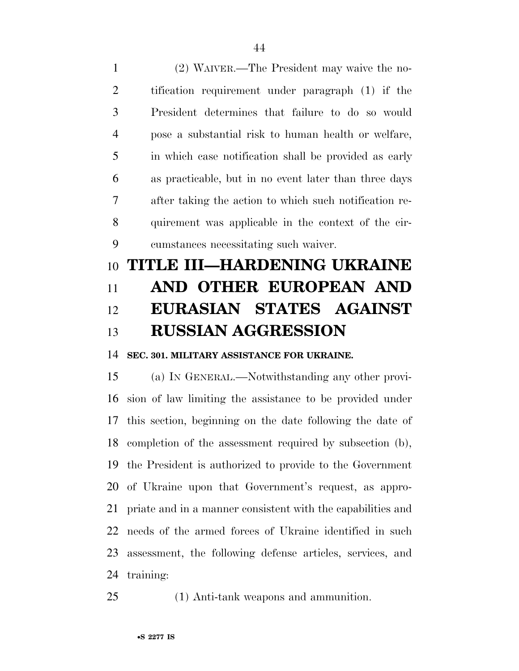(2) WAIVER.—The President may waive the no- tification requirement under paragraph (1) if the President determines that failure to do so would pose a substantial risk to human health or welfare, in which case notification shall be provided as early as practicable, but in no event later than three days after taking the action to which such notification re- quirement was applicable in the context of the cir-cumstances necessitating such waiver.

# **TITLE III—HARDENING UKRAINE AND OTHER EUROPEAN AND EURASIAN STATES AGAINST RUSSIAN AGGRESSION**

**SEC. 301. MILITARY ASSISTANCE FOR UKRAINE.** 

 (a) IN GENERAL.—Notwithstanding any other provi- sion of law limiting the assistance to be provided under this section, beginning on the date following the date of completion of the assessment required by subsection (b), the President is authorized to provide to the Government of Ukraine upon that Government's request, as appro- priate and in a manner consistent with the capabilities and needs of the armed forces of Ukraine identified in such assessment, the following defense articles, services, and training:

(1) Anti-tank weapons and ammunition.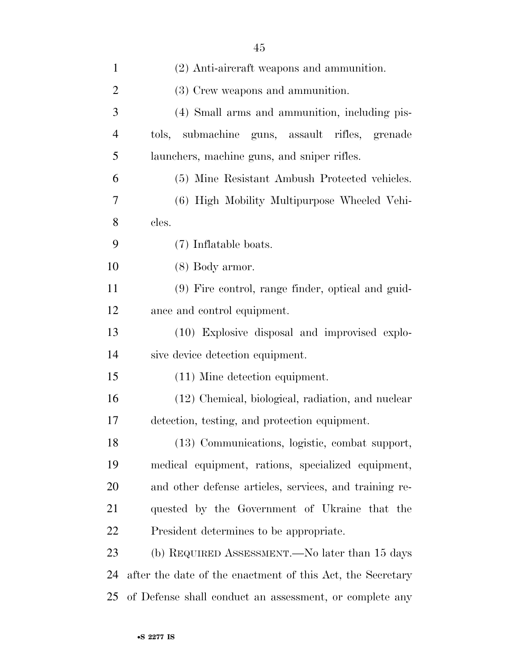| $\mathbf{1}$   | (2) Anti-aircraft weapons and ammunition.                  |
|----------------|------------------------------------------------------------|
| $\overline{2}$ | (3) Crew weapons and ammunition.                           |
| 3              | (4) Small arms and ammunition, including pis-              |
| $\overline{4}$ | tols, submachine guns, assault rifles, grenade             |
| 5              | launchers, machine guns, and sniper rifles.                |
| 6              | (5) Mine Resistant Ambush Protected vehicles.              |
| 7              | (6) High Mobility Multipurpose Wheeled Vehi-               |
| 8              | cles.                                                      |
| 9              | (7) Inflatable boats.                                      |
| 10             | $(8)$ Body armor.                                          |
| 11             | (9) Fire control, range finder, optical and guid-          |
| 12             | ance and control equipment.                                |
| 13             | (10) Explosive disposal and improvised explo-              |
| 14             | sive device detection equipment.                           |
| 15             | $(11)$ Mine detection equipment.                           |
| 16             | (12) Chemical, biological, radiation, and nuclear          |
| 17             | detection, testing, and protection equipment.              |
| 18             | (13) Communications, logistic, combat support,             |
| 19             | medical equipment, rations, specialized equipment,         |
| 20             | and other defense articles, services, and training re-     |
| 21             | quested by the Government of Ukraine that the              |
| 22             | President determines to be appropriate.                    |
| 23             | (b) REQUIRED ASSESSMENT.—No later than 15 days             |
| 24             | after the date of the enactment of this Act, the Secretary |
| 25             | of Defense shall conduct an assessment, or complete any    |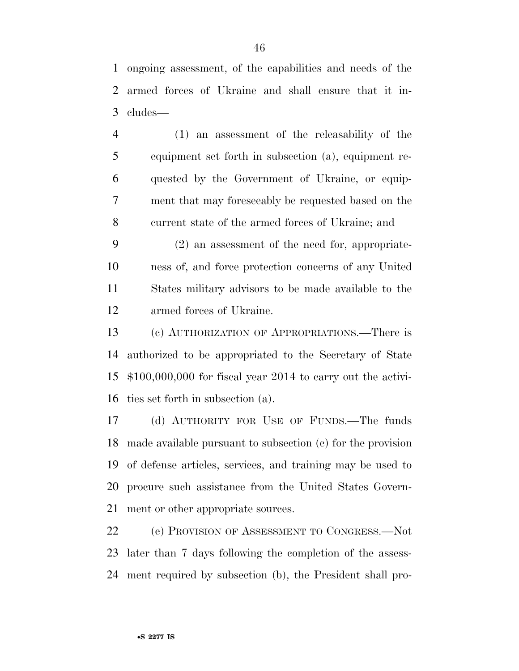ongoing assessment, of the capabilities and needs of the armed forces of Ukraine and shall ensure that it in-cludes—

 (1) an assessment of the releasability of the equipment set forth in subsection (a), equipment re- quested by the Government of Ukraine, or equip- ment that may foreseeably be requested based on the current state of the armed forces of Ukraine; and

 (2) an assessment of the need for, appropriate- ness of, and force protection concerns of any United States military advisors to be made available to the armed forces of Ukraine.

 (c) AUTHORIZATION OF APPROPRIATIONS.—There is authorized to be appropriated to the Secretary of State \$100,000,000 for fiscal year 2014 to carry out the activi-ties set forth in subsection (a).

 (d) AUTHORITY FOR USE OF FUNDS.—The funds made available pursuant to subsection (c) for the provision of defense articles, services, and training may be used to procure such assistance from the United States Govern-ment or other appropriate sources.

 (e) PROVISION OF ASSESSMENT TO CONGRESS.—Not later than 7 days following the completion of the assess-ment required by subsection (b), the President shall pro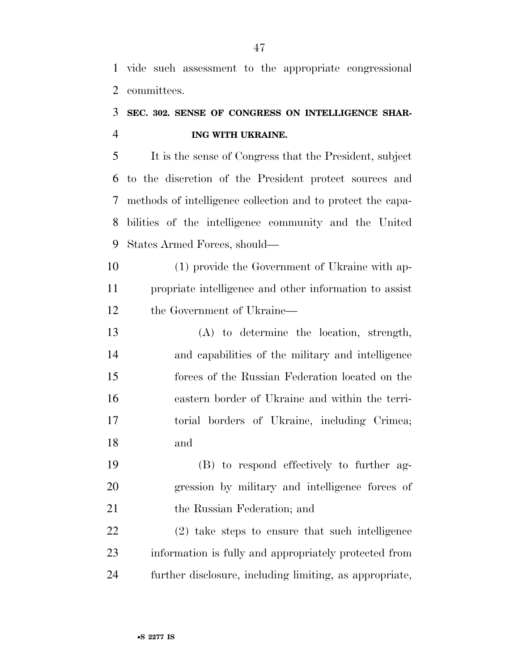vide such assessment to the appropriate congressional committees.

### **SEC. 302. SENSE OF CONGRESS ON INTELLIGENCE SHAR-ING WITH UKRAINE.**

 It is the sense of Congress that the President, subject to the discretion of the President protect sources and methods of intelligence collection and to protect the capa- bilities of the intelligence community and the United States Armed Forces, should—

 (1) provide the Government of Ukraine with ap- propriate intelligence and other information to assist the Government of Ukraine—

 (A) to determine the location, strength, and capabilities of the military and intelligence forces of the Russian Federation located on the eastern border of Ukraine and within the terri- torial borders of Ukraine, including Crimea; and

 (B) to respond effectively to further ag- gression by military and intelligence forces of the Russian Federation; and

 (2) take steps to ensure that such intelligence information is fully and appropriately protected from further disclosure, including limiting, as appropriate,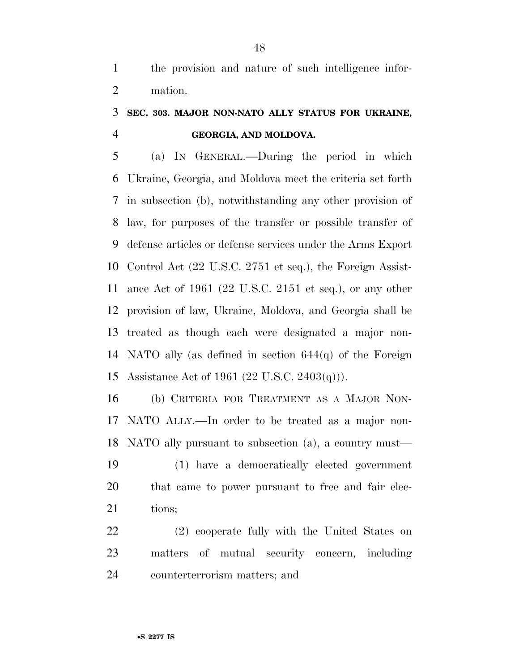the provision and nature of such intelligence infor-mation.

### **SEC. 303. MAJOR NON-NATO ALLY STATUS FOR UKRAINE, GEORGIA, AND MOLDOVA.**

 (a) IN GENERAL.—During the period in which Ukraine, Georgia, and Moldova meet the criteria set forth in subsection (b), notwithstanding any other provision of law, for purposes of the transfer or possible transfer of defense articles or defense services under the Arms Export Control Act (22 U.S.C. 2751 et seq.), the Foreign Assist- ance Act of 1961 (22 U.S.C. 2151 et seq.), or any other provision of law, Ukraine, Moldova, and Georgia shall be treated as though each were designated a major non- NATO ally (as defined in section 644(q) of the Foreign Assistance Act of 1961 (22 U.S.C. 2403(q))).

 (b) CRITERIA FOR TREATMENT AS A MAJOR NON- NATO ALLY.—In order to be treated as a major non-NATO ally pursuant to subsection (a), a country must—

 (1) have a democratically elected government that came to power pursuant to free and fair elec-21 tions:

 (2) cooperate fully with the United States on matters of mutual security concern, including counterterrorism matters; and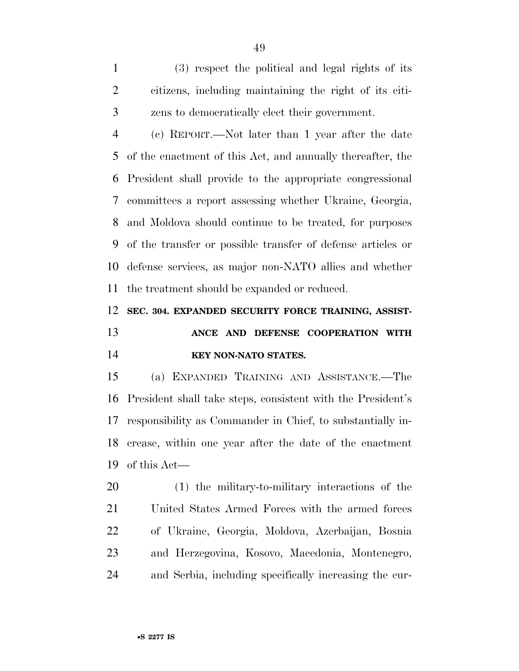(3) respect the political and legal rights of its citizens, including maintaining the right of its citi-zens to democratically elect their government.

 (c) REPORT.—Not later than 1 year after the date of the enactment of this Act, and annually thereafter, the President shall provide to the appropriate congressional committees a report assessing whether Ukraine, Georgia, and Moldova should continue to be treated, for purposes of the transfer or possible transfer of defense articles or defense services, as major non-NATO allies and whether the treatment should be expanded or reduced.

 **SEC. 304. EXPANDED SECURITY FORCE TRAINING, ASSIST- ANCE AND DEFENSE COOPERATION WITH KEY NON-NATO STATES.** 

 (a) EXPANDED TRAINING AND ASSISTANCE.—The President shall take steps, consistent with the President's responsibility as Commander in Chief, to substantially in-crease, within one year after the date of the enactment

of this Act—

 (1) the military-to-military interactions of the United States Armed Forces with the armed forces of Ukraine, Georgia, Moldova, Azerbaijan, Bosnia and Herzegovina, Kosovo, Macedonia, Montenegro, and Serbia, including specifically increasing the cur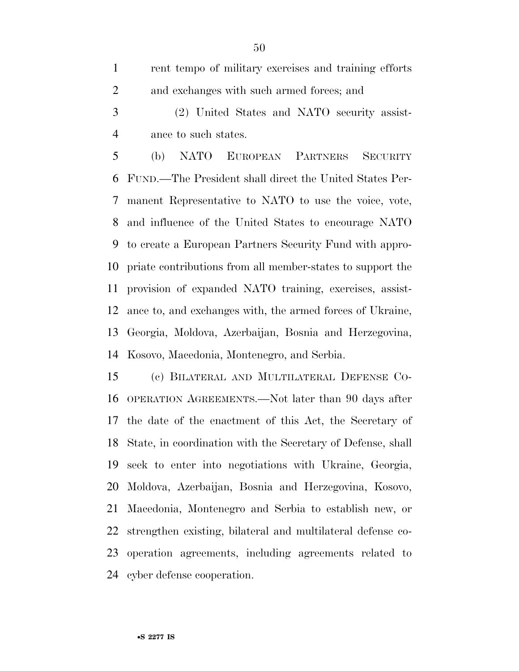rent tempo of military exercises and training efforts and exchanges with such armed forces; and

 (2) United States and NATO security assist-ance to such states.

 (b) NATO EUROPEAN PARTNERS SECURITY FUND.—The President shall direct the United States Per- manent Representative to NATO to use the voice, vote, and influence of the United States to encourage NATO to create a European Partners Security Fund with appro- priate contributions from all member-states to support the provision of expanded NATO training, exercises, assist- ance to, and exchanges with, the armed forces of Ukraine, Georgia, Moldova, Azerbaijan, Bosnia and Herzegovina, Kosovo, Macedonia, Montenegro, and Serbia.

 (c) BILATERAL AND MULTILATERAL DEFENSE CO- OPERATION AGREEMENTS.—Not later than 90 days after the date of the enactment of this Act, the Secretary of State, in coordination with the Secretary of Defense, shall seek to enter into negotiations with Ukraine, Georgia, Moldova, Azerbaijan, Bosnia and Herzegovina, Kosovo, Macedonia, Montenegro and Serbia to establish new, or strengthen existing, bilateral and multilateral defense co- operation agreements, including agreements related to cyber defense cooperation.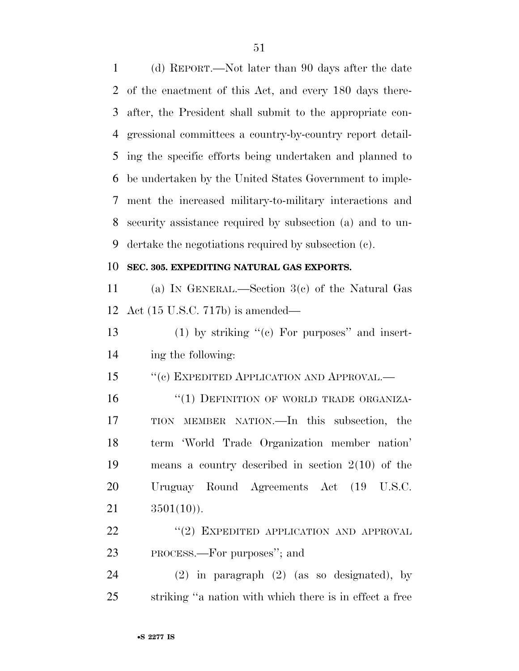(d) REPORT.—Not later than 90 days after the date of the enactment of this Act, and every 180 days there- after, the President shall submit to the appropriate con- gressional committees a country-by-country report detail- ing the specific efforts being undertaken and planned to be undertaken by the United States Government to imple- ment the increased military-to-military interactions and security assistance required by subsection (a) and to un-dertake the negotiations required by subsection (c).

#### **SEC. 305. EXPEDITING NATURAL GAS EXPORTS.**

 (a) IN GENERAL.—Section 3(c) of the Natural Gas Act (15 U.S.C. 717b) is amended—

13 (1) by striking  $(°)$  For purposes" and insert-ing the following:

15 "(c) EXPEDITED APPLICATION AND APPROVAL.—

16 "(1) DEFINITION OF WORLD TRADE ORGANIZA- TION MEMBER NATION.—In this subsection, the term 'World Trade Organization member nation' means a country described in section 2(10) of the Uruguay Round Agreements Act (19 U.S.C.  $3501(10)$ .

22 "(2) EXPEDITED APPLICATION AND APPROVAL PROCESS.—For purposes''; and

 (2) in paragraph (2) (as so designated), by striking ''a nation with which there is in effect a free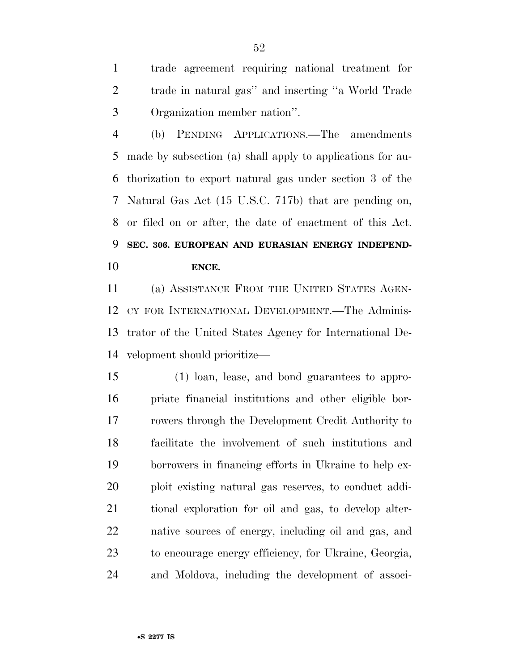trade agreement requiring national treatment for trade in natural gas'' and inserting ''a World Trade Organization member nation''.

 (b) PENDING APPLICATIONS.—The amendments made by subsection (a) shall apply to applications for au- thorization to export natural gas under section 3 of the Natural Gas Act (15 U.S.C. 717b) that are pending on, or filed on or after, the date of enactment of this Act. **SEC. 306. EUROPEAN AND EURASIAN ENERGY INDEPEND-ENCE.** 

 (a) ASSISTANCE FROM THE UNITED STATES AGEN- CY FOR INTERNATIONAL DEVELOPMENT.—The Adminis- trator of the United States Agency for International De-velopment should prioritize—

 (1) loan, lease, and bond guarantees to appro- priate financial institutions and other eligible bor- rowers through the Development Credit Authority to facilitate the involvement of such institutions and borrowers in financing efforts in Ukraine to help ex- ploit existing natural gas reserves, to conduct addi- tional exploration for oil and gas, to develop alter- native sources of energy, including oil and gas, and to encourage energy efficiency, for Ukraine, Georgia, and Moldova, including the development of associ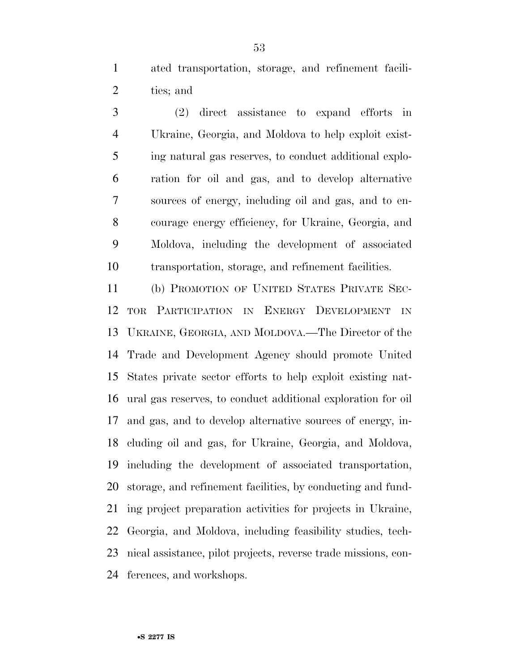ated transportation, storage, and refinement facili-ties; and

 (2) direct assistance to expand efforts in Ukraine, Georgia, and Moldova to help exploit exist- ing natural gas reserves, to conduct additional explo- ration for oil and gas, and to develop alternative sources of energy, including oil and gas, and to en- courage energy efficiency, for Ukraine, Georgia, and Moldova, including the development of associated transportation, storage, and refinement facilities.

 (b) PROMOTION OF UNITED STATES PRIVATE SEC- TOR PARTICIPATION IN ENERGY DEVELOPMENT IN UKRAINE, GEORGIA, AND MOLDOVA.—The Director of the Trade and Development Agency should promote United States private sector efforts to help exploit existing nat- ural gas reserves, to conduct additional exploration for oil and gas, and to develop alternative sources of energy, in- cluding oil and gas, for Ukraine, Georgia, and Moldova, including the development of associated transportation, storage, and refinement facilities, by conducting and fund- ing project preparation activities for projects in Ukraine, Georgia, and Moldova, including feasibility studies, tech- nical assistance, pilot projects, reverse trade missions, con-ferences, and workshops.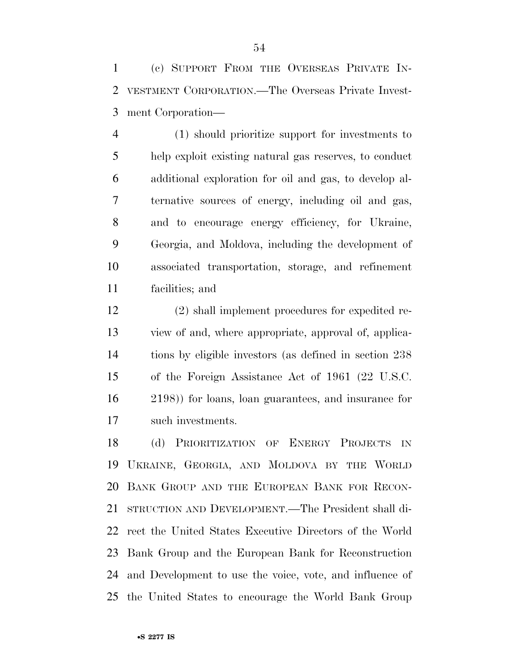(c) SUPPORT FROM THE OVERSEAS PRIVATE IN- VESTMENT CORPORATION.—The Overseas Private Invest-ment Corporation—

 (1) should prioritize support for investments to help exploit existing natural gas reserves, to conduct additional exploration for oil and gas, to develop al- ternative sources of energy, including oil and gas, and to encourage energy efficiency, for Ukraine, Georgia, and Moldova, including the development of associated transportation, storage, and refinement facilities; and

 (2) shall implement procedures for expedited re- view of and, where appropriate, approval of, applica- tions by eligible investors (as defined in section 238 of the Foreign Assistance Act of 1961 (22 U.S.C. 2198)) for loans, loan guarantees, and insurance for such investments.

 (d) PRIORITIZATION OF ENERGY PROJECTS IN UKRAINE, GEORGIA, AND MOLDOVA BY THE WORLD BANK GROUP AND THE EUROPEAN BANK FOR RECON- STRUCTION AND DEVELOPMENT.—The President shall di- rect the United States Executive Directors of the World Bank Group and the European Bank for Reconstruction and Development to use the voice, vote, and influence of the United States to encourage the World Bank Group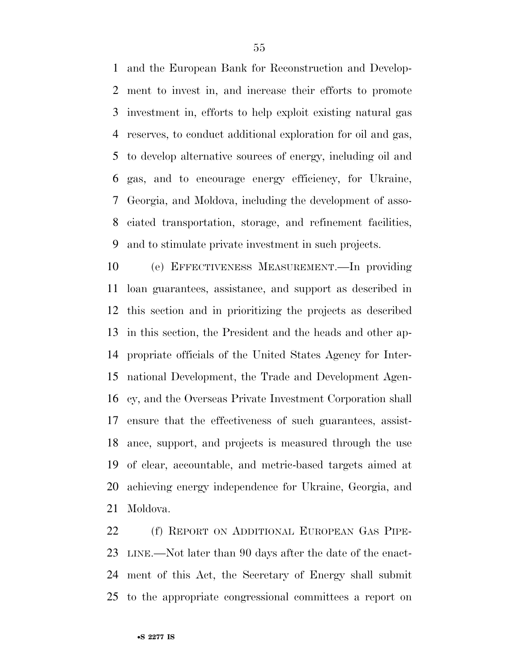and the European Bank for Reconstruction and Develop- ment to invest in, and increase their efforts to promote investment in, efforts to help exploit existing natural gas reserves, to conduct additional exploration for oil and gas, to develop alternative sources of energy, including oil and gas, and to encourage energy efficiency, for Ukraine, Georgia, and Moldova, including the development of asso- ciated transportation, storage, and refinement facilities, and to stimulate private investment in such projects.

 (e) EFFECTIVENESS MEASUREMENT.—In providing loan guarantees, assistance, and support as described in this section and in prioritizing the projects as described in this section, the President and the heads and other ap- propriate officials of the United States Agency for Inter- national Development, the Trade and Development Agen- cy, and the Overseas Private Investment Corporation shall ensure that the effectiveness of such guarantees, assist- ance, support, and projects is measured through the use of clear, accountable, and metric-based targets aimed at achieving energy independence for Ukraine, Georgia, and Moldova.

 (f) REPORT ON ADDITIONAL EUROPEAN GAS PIPE- LINE.—Not later than 90 days after the date of the enact- ment of this Act, the Secretary of Energy shall submit to the appropriate congressional committees a report on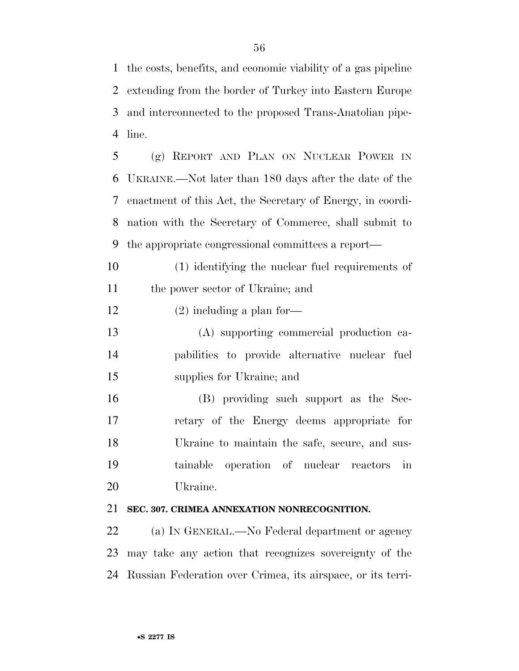the costs, benefits, and economic viability of a gas pipeline extending from the border of Turkey into Eastern Europe and interconnected to the proposed Trans-Anatolian pipe-line.

 (g) REPORT AND PLAN ON NUCLEAR POWER IN UKRAINE.—Not later than 180 days after the date of the enactment of this Act, the Secretary of Energy, in coordi- nation with the Secretary of Commerce, shall submit to the appropriate congressional committees a report—

 (1) identifying the nuclear fuel requirements of the power sector of Ukraine; and

12 (2) including a plan for-

 (A) supporting commercial production ca- pabilities to provide alternative nuclear fuel supplies for Ukraine; and

 (B) providing such support as the Sec- retary of the Energy deems appropriate for Ukraine to maintain the safe, secure, and sus- tainable operation of nuclear reactors in Ukraine.

### **SEC. 307. CRIMEA ANNEXATION NONRECOGNITION.**

 (a) IN GENERAL.—No Federal department or agency may take any action that recognizes sovereignty of the Russian Federation over Crimea, its airspace, or its terri-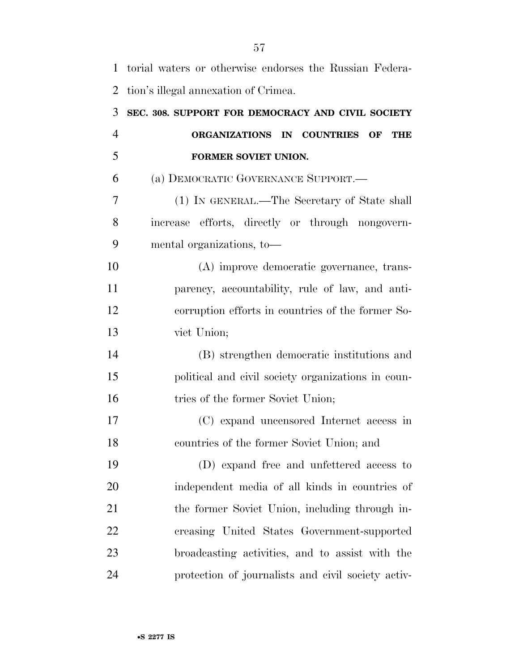| $\mathbf{1}$ | torial waters or otherwise endorses the Russian Federa- |
|--------------|---------------------------------------------------------|
| 2            | tion's illegal annexation of Crimea.                    |
| 3            | SEC. 308. SUPPORT FOR DEMOCRACY AND CIVIL SOCIETY       |
| 4            | ORGANIZATIONS IN COUNTRIES<br>OF<br>THE                 |
| 5            | FORMER SOVIET UNION.                                    |
| 6            | (a) DEMOCRATIC GOVERNANCE SUPPORT.—                     |
| 7            | (1) IN GENERAL.—The Secretary of State shall            |
| 8            | increase efforts, directly or through nongovern-        |
| 9            | mental organizations, to-                               |
| 10           | (A) improve democratic governance, trans-               |
| 11           | parency, accountability, rule of law, and anti-         |
| 12           | corruption efforts in countries of the former So-       |
| 13           | viet Union;                                             |
| 14           | (B) strengthen democratic institutions and              |
| 15           | political and civil society organizations in coun-      |
| 16           | tries of the former Soviet Union;                       |
| 17           | (C) expand uncensored Internet access in                |
| 18           | countries of the former Soviet Union; and               |
| 19           | (D) expand free and unfettered access to                |
| 20           | independent media of all kinds in countries of          |
| 21           | the former Soviet Union, including through in-          |
| 22           | creasing United States Government-supported             |
| 23           | broadcasting activities, and to assist with the         |
| 24           | protection of journalists and civil society activ-      |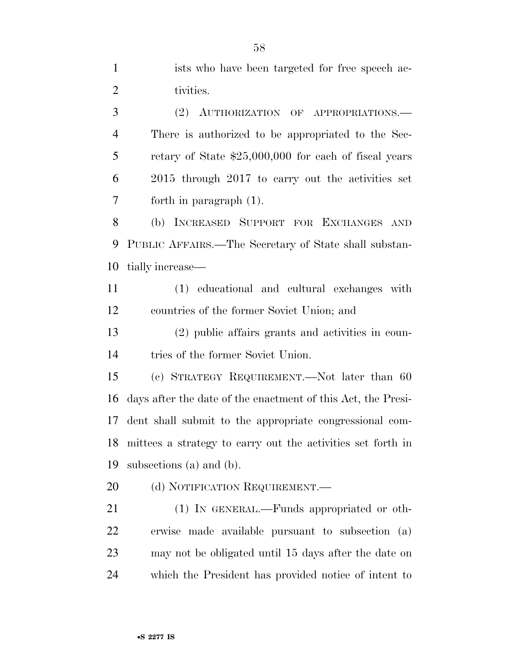ists who have been targeted for free speech ac-2 tivities. (2) AUTHORIZATION OF APPROPRIATIONS.— There is authorized to be appropriated to the Sec- retary of State \$25,000,000 for each of fiscal years 2015 through 2017 to carry out the activities set forth in paragraph (1). (b) INCREASED SUPPORT FOR EXCHANGES AND PUBLIC AFFAIRS.—The Secretary of State shall substan- tially increase— (1) educational and cultural exchanges with countries of the former Soviet Union; and (2) public affairs grants and activities in coun- tries of the former Soviet Union. (c) STRATEGY REQUIREMENT.—Not later than 60 days after the date of the enactment of this Act, the Presi- dent shall submit to the appropriate congressional com-mittees a strategy to carry out the activities set forth in

subsections (a) and (b).

20 (d) NOTIFICATION REQUIREMENT.

 (1) IN GENERAL.—Funds appropriated or oth- erwise made available pursuant to subsection (a) may not be obligated until 15 days after the date on which the President has provided notice of intent to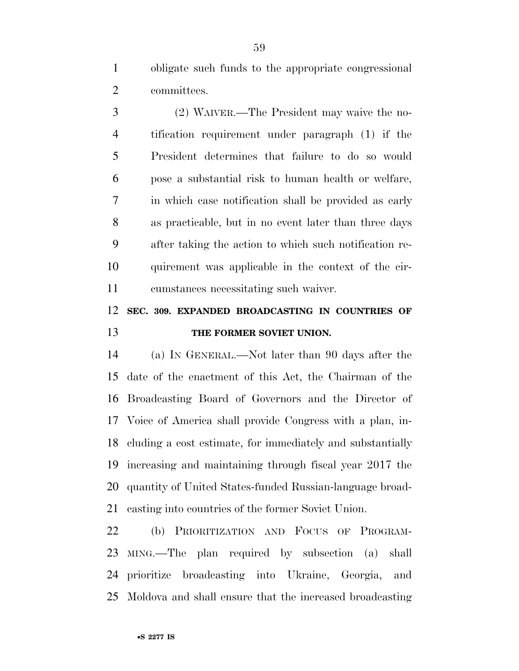obligate such funds to the appropriate congressional committees.

 (2) WAIVER.—The President may waive the no- tification requirement under paragraph (1) if the President determines that failure to do so would pose a substantial risk to human health or welfare, in which case notification shall be provided as early as practicable, but in no event later than three days after taking the action to which such notification re- quirement was applicable in the context of the cir-cumstances necessitating such waiver.

### **SEC. 309. EXPANDED BROADCASTING IN COUNTRIES OF THE FORMER SOVIET UNION.**

 (a) IN GENERAL.—Not later than 90 days after the date of the enactment of this Act, the Chairman of the Broadcasting Board of Governors and the Director of Voice of America shall provide Congress with a plan, in- cluding a cost estimate, for immediately and substantially increasing and maintaining through fiscal year 2017 the quantity of United States-funded Russian-language broad-casting into countries of the former Soviet Union.

 (b) PRIORITIZATION AND FOCUS OF PROGRAM- MING.—The plan required by subsection (a) shall prioritize broadcasting into Ukraine, Georgia, and Moldova and shall ensure that the increased broadcasting